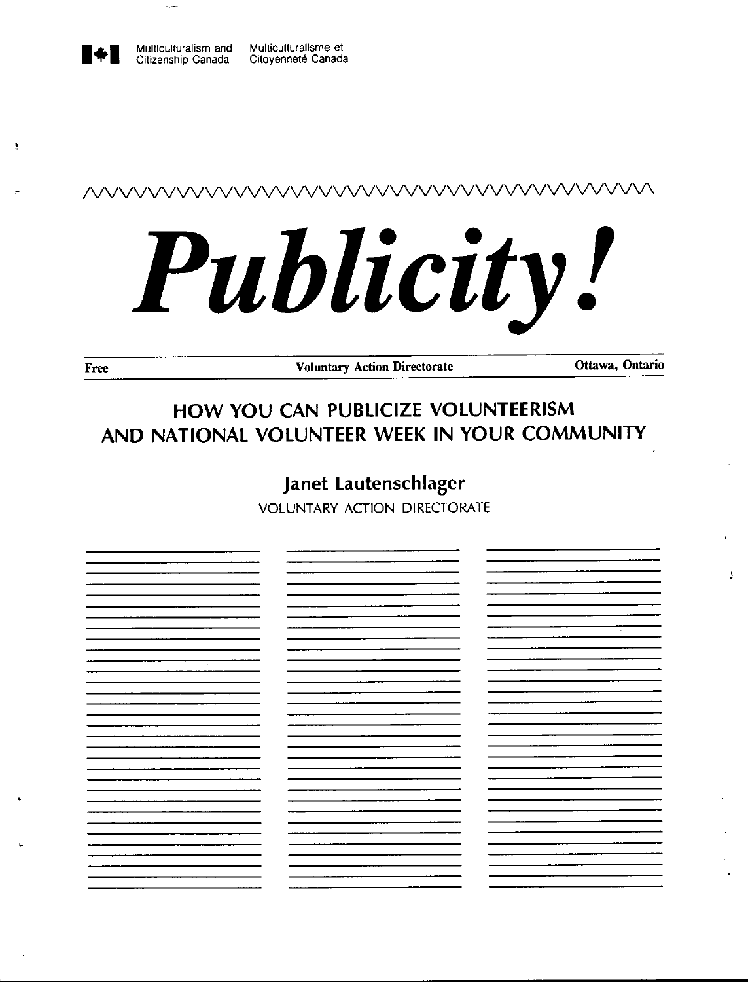# /VVVVVVVVVVVVVVVVVVVVVVVVVVVVVVVVVVVVVVV\

# , •

÷

**Free** Voluntary Action Directorate **Ottawa, Ontario** 

# **HOW YOU CAN PUBLICIZE VOLUNTEERISM AND NATIONAL VOLUNTEER WEEK IN YOUR COMMUNITY**

# **Janet Lautenschlager**

VOLUNTARY ACTION DIRECTORATE

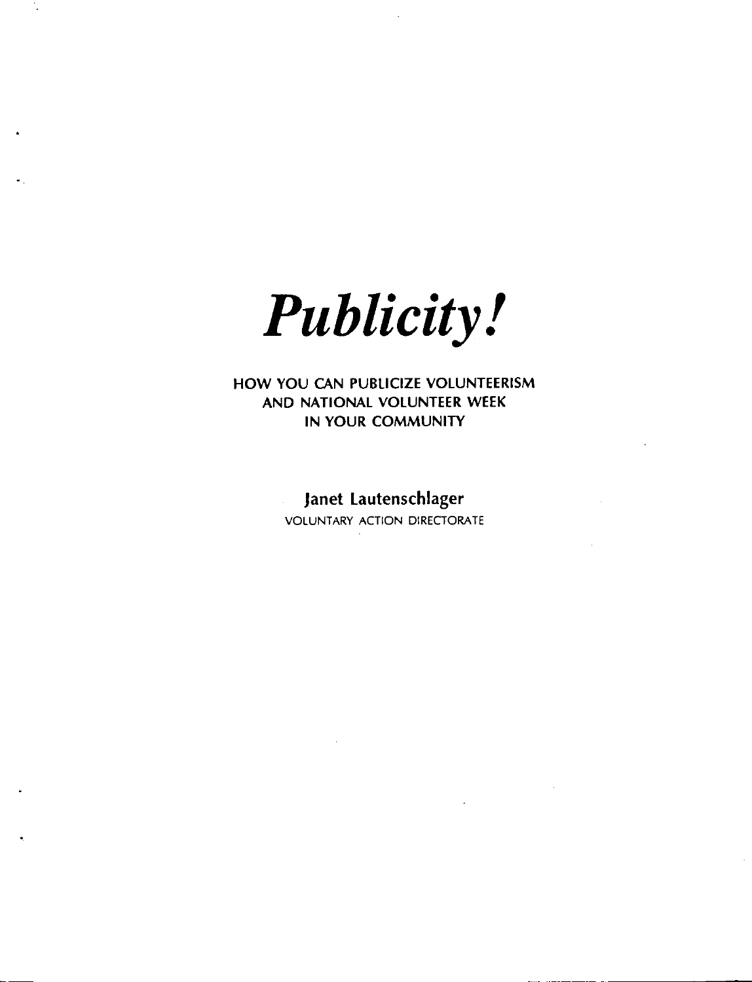

**HOW YOU CAN PUBLICIZE VOLUNTEERISM AND NATIONAL VOLUNTEER WEEK IN YOUR COMMUNITY** 

# **Janet lautenschlager**

VOLUNTARY ACTION DIRECTORATE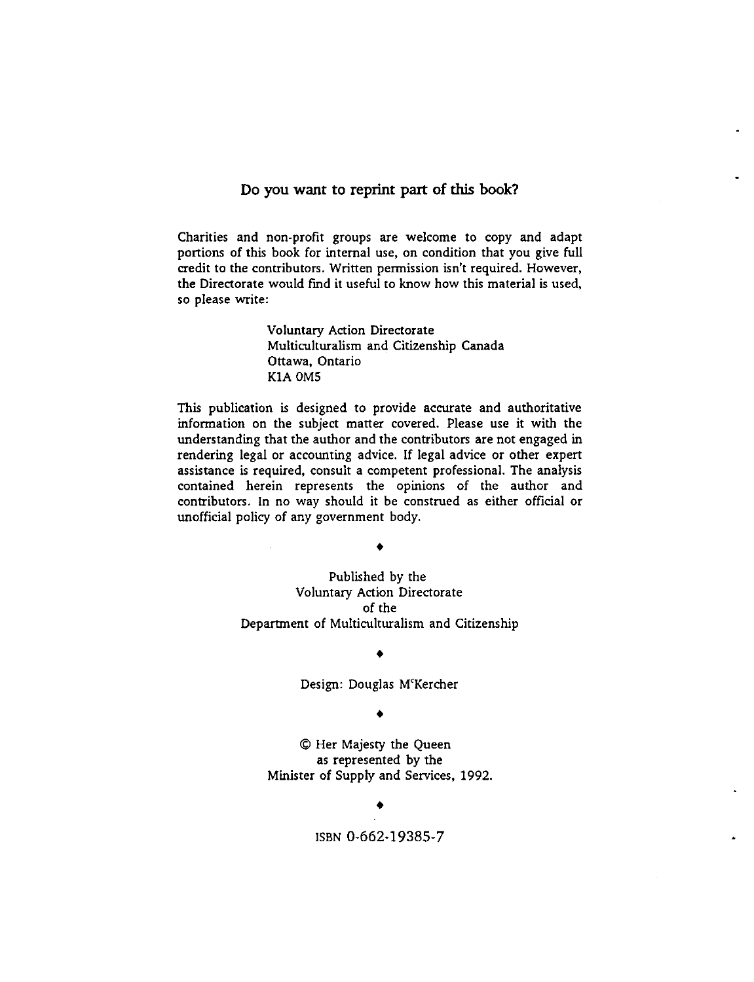#### **Do you want to reprint part of this book?**

Charities and non-profit groups are welcome to copy and adapt portions of this book for internal use, on condition that you give full credit to the contributors. Written permission isn't required. However, the Directorate would find it useful to know how this material is used, so please write:

> Voluntary Action Directorate Multiculturalism and Citizenship Canada Ottawa, Ontario **KIA** OMS

This publication is designed to provide accurate and authoritative information on the subject matter covered. Please use it with the understanding that the author and the contributors are not engaged in rendering legal or accounting advice. If legal advice or other expert assistance is required, consult a competent professional. The analysis contained herein represents the opinions of the author and contributors. In no way should it be construed as either official or unofficial policy of any government body.

♦

Published by the Voluntary Action Directorate of the Department of Multiculturalism and Citizenship

#### ♦

Design: Douglas M'Kercher

♦

© Her Majesty the Queen as represented by the Minister of Supply and Services, 1992.

♦

ISBN 0-662-19385- 7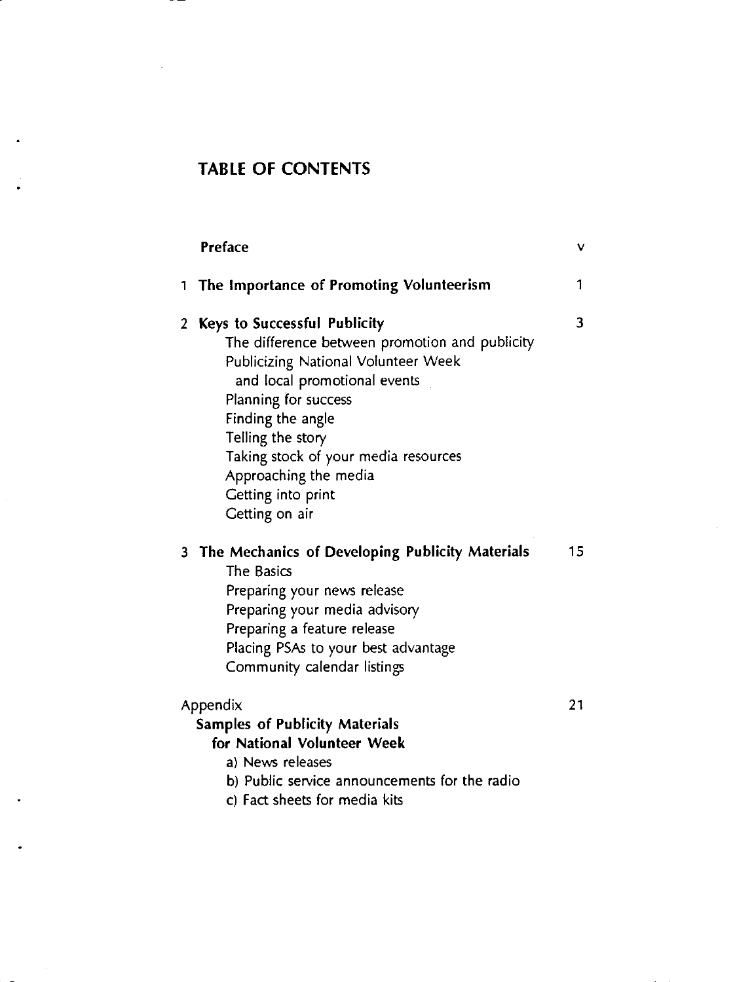# **TABLE OF CONTENTS**

|   | <b>Preface</b>                                                                                                                                                                                                                                                                                                                   | v               |
|---|----------------------------------------------------------------------------------------------------------------------------------------------------------------------------------------------------------------------------------------------------------------------------------------------------------------------------------|-----------------|
| 1 | The Importance of Promoting Volunteerism                                                                                                                                                                                                                                                                                         | 1               |
| 2 | Keys to Successful Publicity<br>The difference between promotion and publicity<br>Publicizing National Volunteer Week<br>and local promotional events<br>Planning for success<br>Finding the angle<br>Telling the story<br>Taking stock of your media resources<br>Approaching the media<br>Getting into print<br>Getting on air | 3               |
|   | 3 The Mechanics of Developing Publicity Materials<br>The Basics<br>Preparing your news release<br>Preparing your media advisory<br>Preparing a feature release<br>Placing PSAs to your best advantage<br>Community calendar listings                                                                                             | 15 <sub>1</sub> |
|   | Appendix<br><b>Samples of Publicity Materials</b><br>for National Volunteer Week<br>a) News releases<br>b) Public service announcements for the radio<br>c) Fact sheets for media kits                                                                                                                                           | 21              |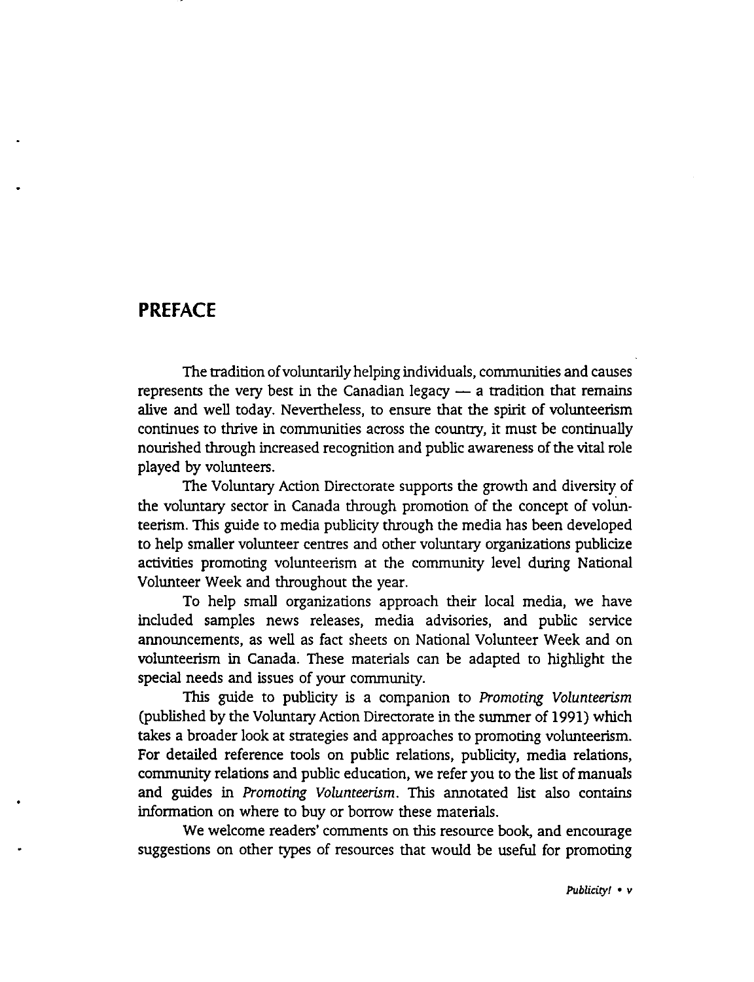# **PREFACE**

The tradition of voluntarily helping individuals, communities and causes represents the very best in the Canadian legacy  $-$  a tradition that remains alive and well today. Nevertheless, to ensure that the spirit of volunteerism continues to thrive in communities across the country, it must be continually nourished through increased recognition and public awareness of the vital role played by volunteers.

The Voluntary Action Directorate supports the growth and diversity of the voluntary sector in Canada through promotion of the concept of volunteerism. This guide to media publicity through the media has been developed to help smaller volunteer centres and other voluntary organizations publicize activities promoting volunteerism at the community level during National Volunteer Week and throughout the year.

To help small organizations approach their local media, we have included samples news releases, media advisories, and public service announcements, as well as fact sheets on National Volunteer Week and on volunteerism in Canada. These materials can be adapted to highlight the special needs and issues of your community.

This guide to publicity is a companion to *Promoting Volunteerism*  (published by the Voluntary Action Directorate in the summer of 1991) which takes a broader look at strategies and approaches to promoting volunteerism. For detailed reference tools on public relations, publicity, media relations, community relations and public education, we refer you to the list of manuals and guides in *Promoting Volunteerism.* This annotated list also contains information on where to buy or borrow these materials.

We welcome readers' comments on this resource book, and encourage suggestions on other types of resources that would be useful for promoting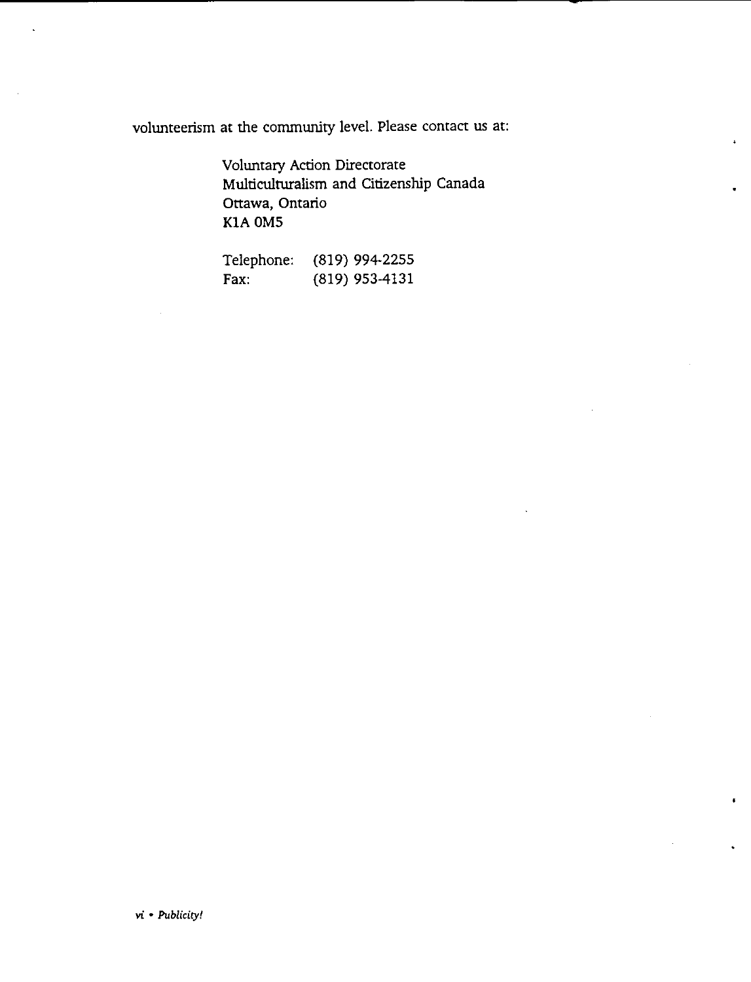volunteerism at the community level. Please contact us at:

Voluntary Action Directorate Multiculturalism and Citizenship Canada Ottawa, Ontario KIA OMS

| Telephone: | $(819)$ 994-2255 |
|------------|------------------|
| Fax:       | $(819)$ 953-4131 |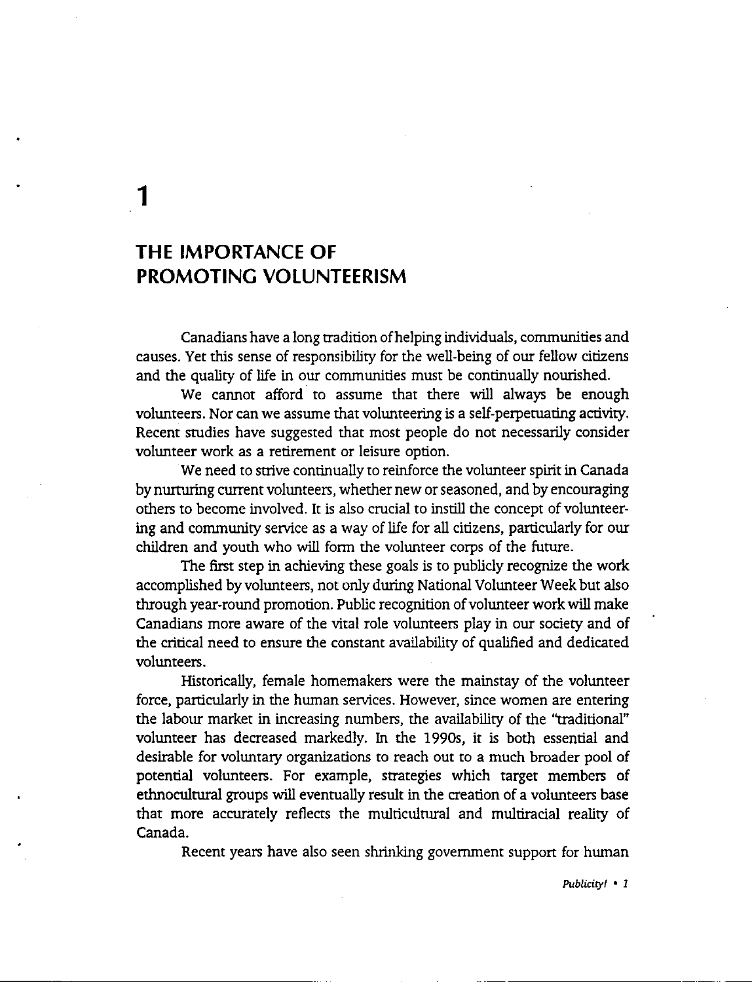**1** 

# **THE IMPORTANCE OF PROMOTING VOLUNTEERISM**

Canadians have a long tradition of helping individuals, communities and causes. Yet this sense of responsibility for the well-being of our fellow citizens and the quality of life in our communities must be continually nourished.

We cannot afford to assume that there will always be enough volunteers. Nor can we assume that volunteering is a self-perpetuating activity. Recent studies have suggested that most people do not necessarily consider volunteer work as a retirement or leisure option.

We need to strive continually to reinforce the volunteer spirit in Canada by nurturing current volunteers, whether new or seasoned, and by encouraging others to become involved. It is also crucial to instill the concept of volunteering and community service as a way of life for all citizens, particularly for our children and youth who will form the volunteer corps of the future.

The first step in achieving these goals is to publicly recognize the work accomplished by volunteers, not only during National Volunteer Week but also through year-round promotion. Public recognition of volunteer work will make Canadians more aware of the vital role volunteers play in our society and of the critical need to ensure the constant availability of qualified and dedicated volunteers.

Historically, female homemakers were the mainstay of the volunteer force, particularly in the human services. However, since women are entering the labour market in increasing numbers, the availability of the ''traditional" volunteer has decreased markedly. In the 1990s, it is both essential and desirable for voluntary organizations to reach out to a much broader pool of potential volunteers. For example, strategies which target members of ethnocultural groups will eventually result in the creation of a volunteers base that more accurately reflects the multicultural and multiracial reality of Canada.

Recent years have also seen shrinking government support for human

*Publicity/* • *I*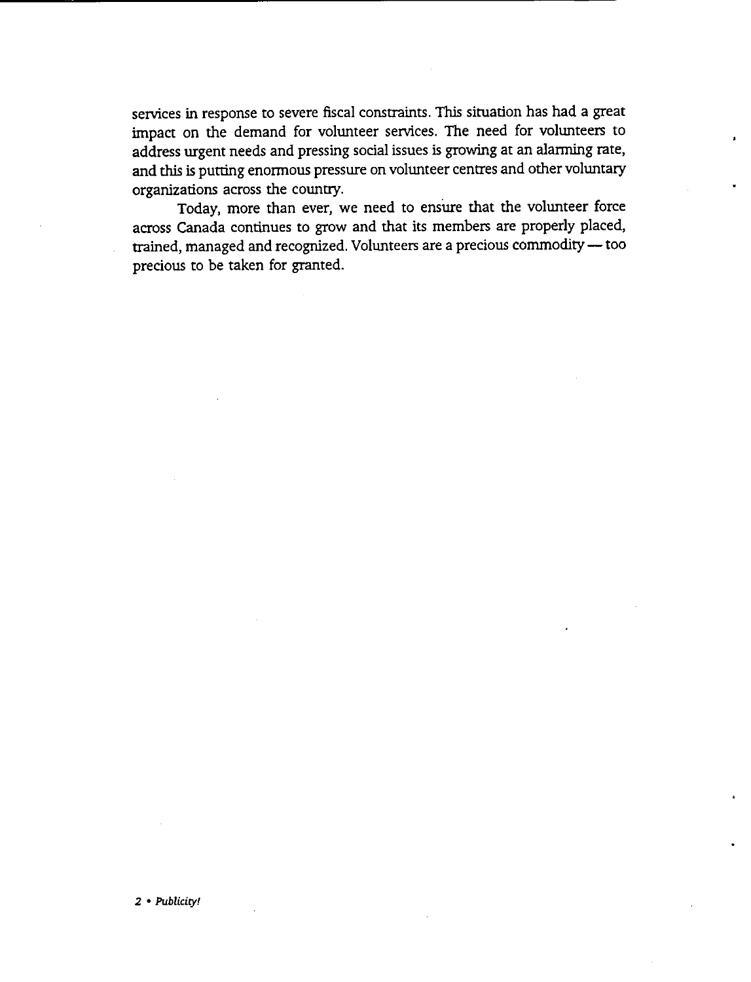services in response to severe fiscal constraints. This situation has had a great impact on the demand for volunteer services. The need for volunteers to address urgent needs and pressing social issues is growing at an alarming rate, and this is putting enormous pressure on volunteer centres and other voluntary organizations across the country.

Today, more than ever, we need to ensure that the volunteer force across Canada continues to grow and that its members are properly placed, trained, managed and recognized. Volunteers are a precious commodity - too precious to be taken for granted.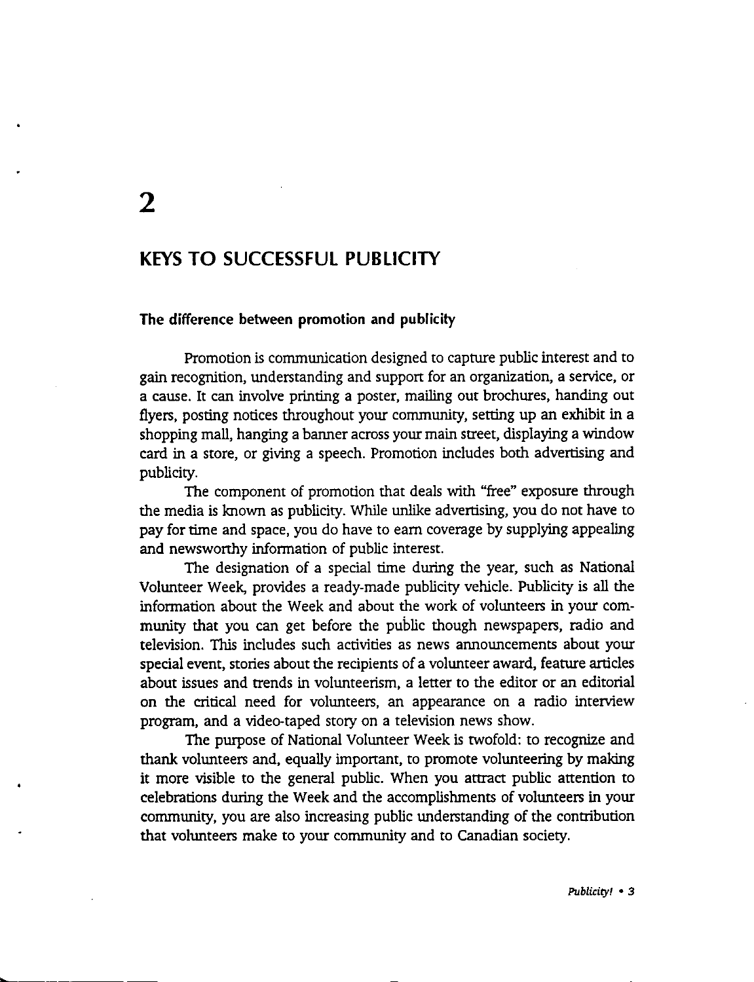# **2**

### **KEYS TO SUCCESSFUL PUBLICITY**

#### **The difference between promotion and publicity**

Promotion is communication designed to capture public interest and to gain recognition, understanding and support for an organization, a service, or a cause. It can involve printing a poster, mailing out brochures, handing out flyers, posting notices throughout your community, setting up an exhibit in a shopping mall, hanging a banner across your main street, displaying a window card in a store, or giving a speech. Promotion includes both advertising and publicity.

The component of promotion that deals with "free" exposure through the media is known as publicity. While unlike advertising, you do not have to pay for time and space, you do have to earn coverage by supplying appealing and newsworthy information of public interest.

The designation of a special time during the year, such as National Volunteer Week, provides a ready-made publicity vehicle. Publicity is all the information about the Week and about the work of volunteers in your community that you can get before the public though newspapers, radio and television. This includes such activities as news announcements about your special event, stories about the recipients of a volunteer award, feature articles about issues and trends in volunteerism, a letter to the editor or an editorial on the critical need for volunteers, an appearance on a radio interview program, and a video-taped story on a television news show.

The purpose of National Volunteer Week is twofold: to recognize and thank volunteers and, equally important, to promote volunteering by making it more visible to the general public. When you attract public attention to celebrations during the Week and the accomplishments of volunteers **in** your community, you are also increasing public understanding of the contribution that volunteers make to your community and to Canadian society.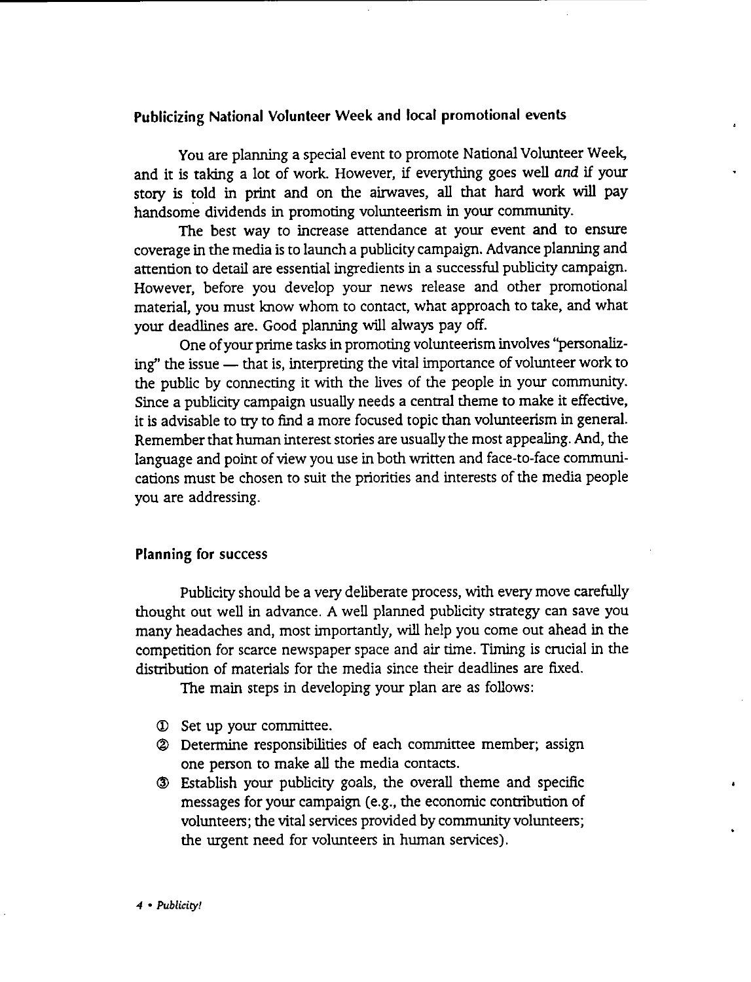#### Publicizing National Volunteer Week and local promotional events

You are planning a special event to promote National Volunteer Week, and it is taking a lot of work. However, if everything goes well and if your story is told in print and on the airwaves, all that hard work will pay handsome dividends in promoting volunteerism in your community.

The best way to increase attendance at your event and to ensure coverage in the media is to launch a publicity campaign. Advance planning and attention to detail are essential ingredients in a successful publicity campaign. However, before you develop your news release and other promotional material, you must know whom to contact, what approach to take, and what your deadlines are. Good planning will always pay off.

One of your prime tasks in promoting volunteerism involves ''personalizing" the issue — that is, interpreting the vital importance of volunteer work to the public by connecting it with the lives of the people in your community. Since a publicity campaign usually needs a central theme to make it effective, it is advisable to try to find a more focused topic than volunteerism in general. Remember that human interest stories are usually the most appealing. And, the language and point of view you use in both written and face-to-face communications must be chosen to suit the priorities and interests of the media people you are addressing.

#### **Planning for success**

Publicity should be a very deliberate process, with every move carefully thought out well in advance. A well planned publicity strategy can save you many headaches and, most importantly, will help you come out ahead in the competition for scarce newspaper space and air time. Timing is crucial in the distribution of materials for the media since their deadlines are fixed.

The main steps in developing your plan are as follows:

- © Set up your committee.
- @ Determine responsibilities of each committee member; assign one person to make all the media contacts.
- @ Establish your publicity goals, the overall theme and specific messages for your campaign (e.g., the economic contribution of volunteers; the vital services provided by community volunteers; the urgent need for volunteers in human services).

*4* • *Publicity!*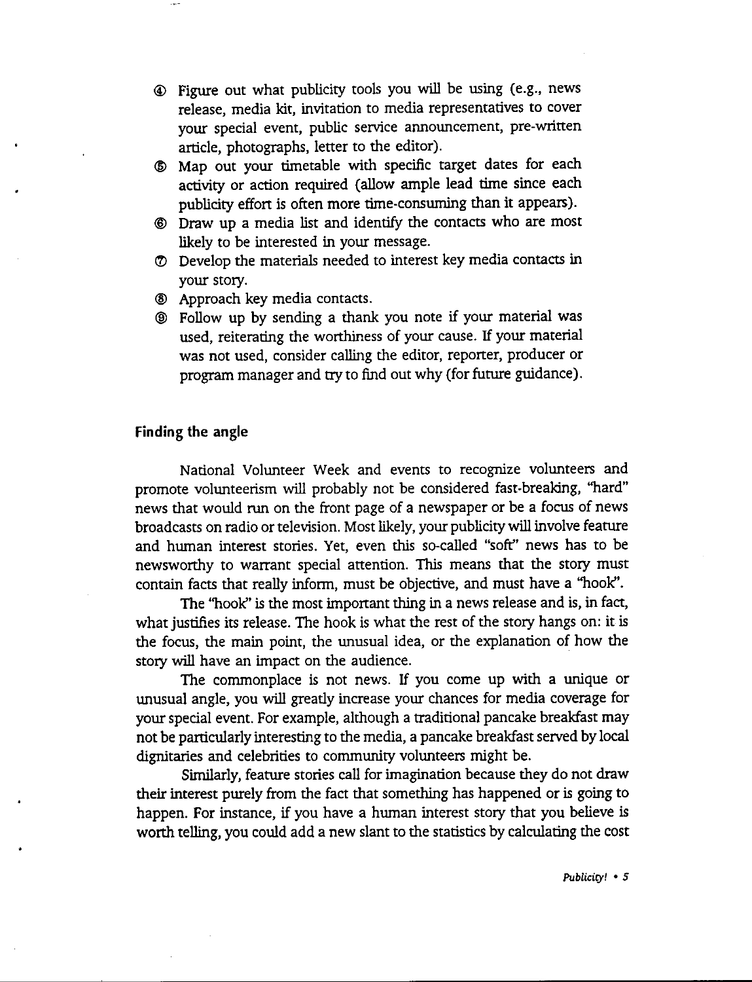- © Figure out what publicity tools you will be using (e.g., news release, media kit, invitation to media representatives to cover your special event, public service announcement, pre-written article, photographs, letter to the editor).
- @ Map out your timetable with specific target dates for each activity or action required (allow ample lead time since each publicity effon is often more time-consuming than it appears).
- ® Draw up a media list and identify the contacts who are most likely to be interested in your message.
- (1) Develop the materials needed to interest key media contacts in your story.
- @ Approach key media contacts.
- @ Follow up by sending a thank you note if your material was used, reiterating the wonhiness of your cause. If your material was not used, consider calling the editor, reporter, producer or program manager and try to find out why (for future guidance).

#### **Finding the angle**

National Volunteer Week and events to recognize volunteers and promote volunteerism will probably not be considered fast-breaking, "hard" news that would run on the front page of a newspaper or be a focus of news broadcasts on radio or television. Most likely, your publicity will involve feature and human interest stories. Yet, even this so-called "soft'' news has to be newswonhy to warrant special attention. This means that the story must contain facts that really inform, must be objective, and must have a "hook''.

The "hook" is the most important thing in a news release and is, in fact, what justifies its release. The hook is what the rest of the story hangs on: it is the focus, the main point, the unusual idea, or the explanation of how the story will have an impact on the audience.

The commonplace is not news. If you come up with a unique or unusual angle, you will greatly increase your chances for media coverage for your special event. For example, although a traditional pancake breakfast may not be particularly interesting to the media, a pancake breakfast served by local dignitaries and celebrities to community volunteers might be.

Similarly, feature stories call for imagination because they do not draw their interest purely from the fact that something has happened or is going to happen. For instance, if you have a human interest story that you believe is worth telling, you could add a new slant to the statistics by calculating the cost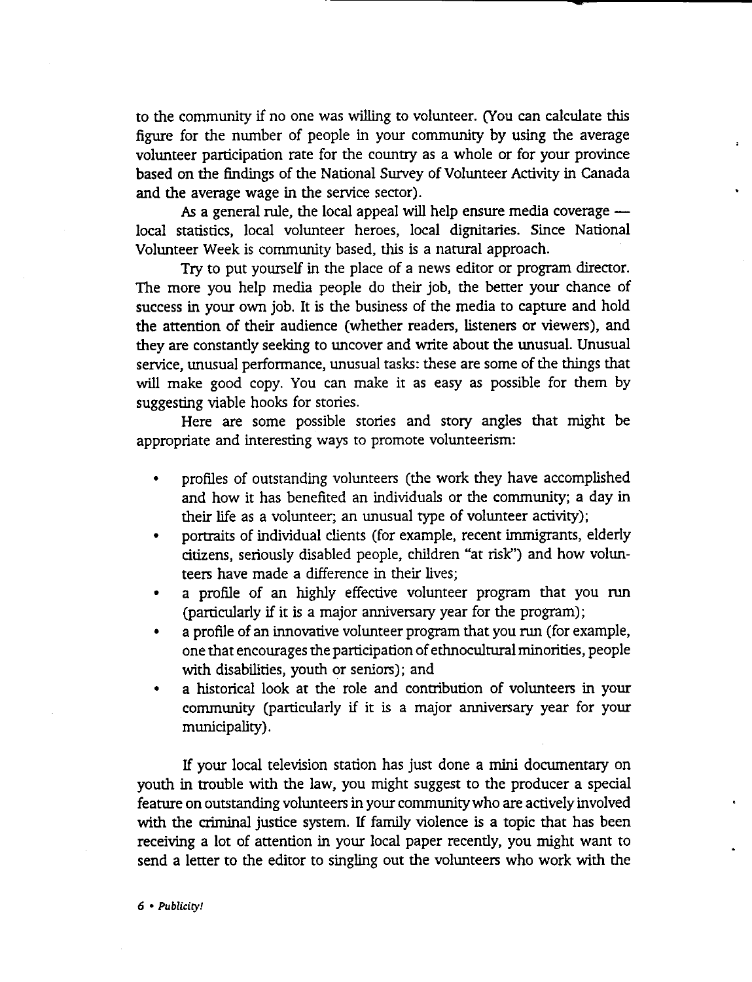to the community if no one was willing to volunteer. (You can calculate this figure for the number of people in your community by using the average volunteer participation rate for the country as a whole or for your province based on the findings of the National Survey of Volunteer Activity in Canada and the average wage in the service sector).

As a general rule, the local appeal will help ensure media coverage  $$ local statistics, local volunteer heroes, local dignitaries. Since National Volunteer Week is community based, this is a natural approach.

Try to put yourself in the place of a news editor or program director. The more you help media people do their job, the better your chance of success in your own job. It is the business of the media to capture and hold the attention of their audience (whether readers, listeners or viewers), and they are constantly seeking to uncover and write about the unusual. Unusual service, unusual performance, unusual tasks: these are some of the things that will make good copy. You can make it as easy as possible for them by suggesting viable hooks for stories.

Here are some possible stories and story angles that might be appropriate and interesting ways to promote volunteerism:

- profiles of outstanding volunteers (the work they have accomplished and how it has benefited an individuals or the community; a day in their life as a volunteer; an unusual type of volunteer activity);
- portraits of individual clients (for example, recent immigrants, elderly citizens, seriously disabled people, children "at risk'') and how volunteers have made a difference in their lives;
- a profile of an highly effective volunteer program that you run (particularly if it is a major anniversary year for the program);
- a profile of an innovative volunteer program that you run (for example, one that encourages the participation of ethnocultural minorities, people with disabilities, youth or seniors); and
- a historical look at the role and contribution of volunteers in your community (particularly if it is a major anniversary year for your municipality).

If your local television station has just done a mini documentary on youth in trouble with the law, you might suggest to the producer a special feature on outstanding volunteers in your community who are actively involved with the criminal justice system. If family violence is a topic that has been receiving a lot of attention in your local paper recently, you might want to send a letter to the editor to singling out the volunteers who work with the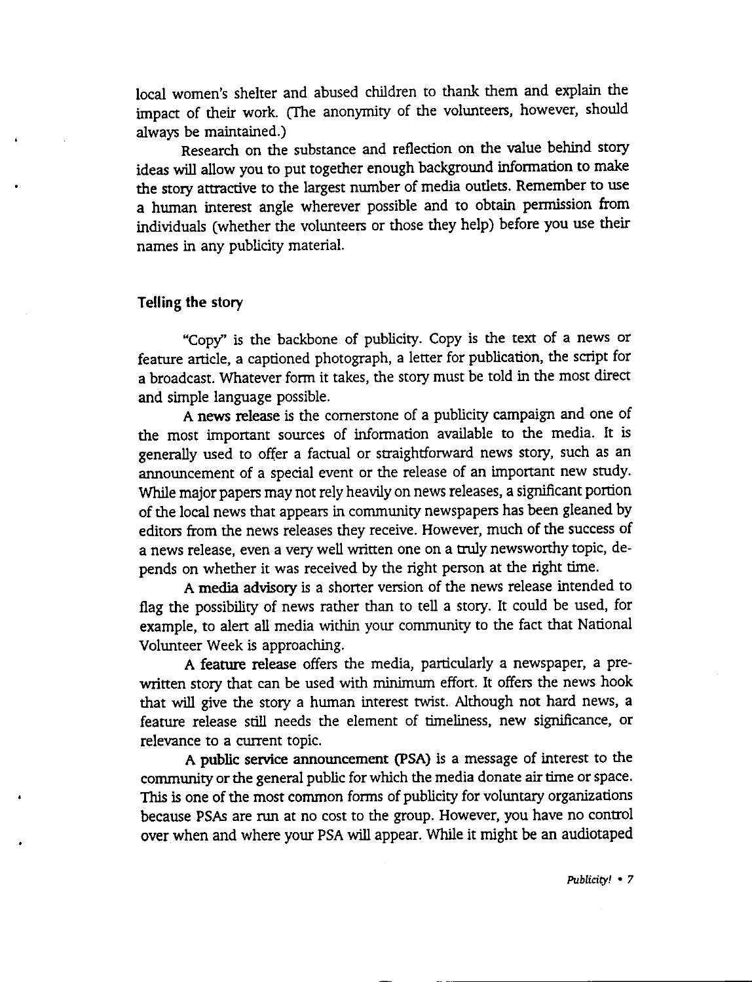local women's shelter and abused children to thank them and explain the impact of their work. (The anonymity of the volunteers, however, should always be maintained.)

Research on the substance and reflection on the value behind story ideas will allow you to put together enough background information to make the story attractive to the largest number of media outlets. Remember to use a human interest angle wherever possible and to obtain permission from individuals (whether the volunteers or those they help) before you use their names in any publicity material.

#### **Telling the story**

"Copy" is the backbone of publicity. Copy is the text of a news or feature article, a captioned photograph, a letter for publication, the script for a broadcast. Whatever form it takes, the story must be told in the most direct and simple language possible.

**A news release** is the cornerstone of a publicity campaign and one of the most important sources of information available to the media. It is generally used to offer a factual or straightforward news story, such as an announcement of a special event or the release of an important new study. While major papers may not rely heavily on news releases, a significant portion of the local news that appears in community newspapers has been gleaned by editors from the news releases they receive. However, much of the success of a news release, even a very well written one on a truly newsworthy topic, depends on whether it was received by the right person at the right time.

A media advisory is a shorter version of the news release intended to flag the possibility of news rather than to tell a story. It could be used, for example, to alert all media within your community to the fact that National Volunteer Week is approaching.

**A feature release** offers the media, particularly a newspaper, a prewritten story that can be used with minimum effort. It offers the news hook that will give the story a human interest twist. Although not hard news, **a**  feature release still needs the element of timeliness, new significance, or relevance to a current topic.

A **public** service announcement (PSA) is a message of interest to the community or the general public for which the media donate air time or space. This is one of the most common forms of publicity for voluntary organizations because PSAs are run at no cost to the group. However, you have no control over when and where your PSA will appear. While it might be an audiotaped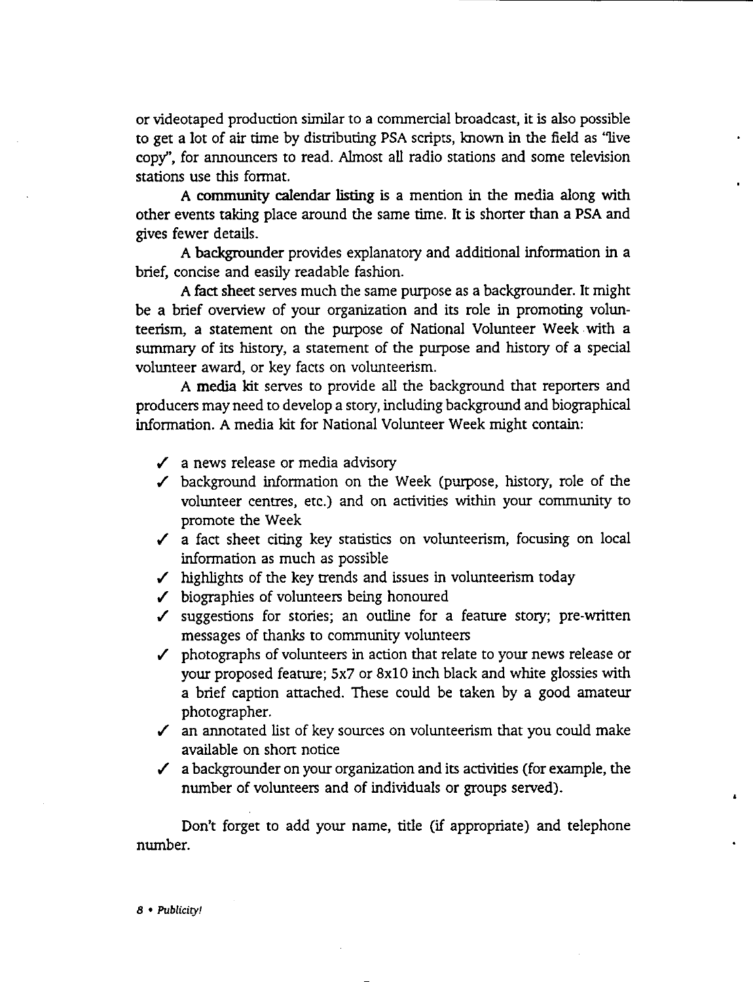or videotaped production similar to a commercial broadcast, it is also possible to get a lot of air time by distributing PSA scripts, known in the field as "live copy", for announcers to read. Almost all radio stations and some television stations use this format.

A community calendar listing is a mention in the media along with other events taking place around the same time. It is shorter than a PSA and gives fewer details.

A backgrounder provides explanatory and additional information in a brief, concise and easily readable fashion.

A fact sheet serves much the same purpose as a backgrounder. It might be a brief overview of your organization and its role in promoting volunteerism, a statement on the purpose of National Volunteer Week with a summary of its history, a statement of the purpose and history of a special volunteer award, or key facts on volunteerism.

**A media kit** serves to provide all the background that reporters and producers may need to develop a story, including background and biographical information. A media kit for National Volunteer Week might contain:

- $\checkmark$  a news release or media advisory
- $\checkmark$  background information on the Week (purpose, history, role of the volunteer centres, etc.) and on activities within your community to promote the Week
- $\checkmark$  a fact sheet citing key statistics on volunteerism, focusing on local information as much as possible
- $\checkmark$  highlights of the key trends and issues in volunteerism today
- ✓ biographies of volunteers being honoured
- $\checkmark$  suggestions for stories; an outline for a feature story; pre-written messages of thanks to community volunteers
- ✓ photographs of volunteers in action that relate to your news release or your proposed feature; 5x7 or 8x10 inch black and white glossies with a brief caption attached. These could be taken by a good amateur photographer.
- $\checkmark$  an annotated list of key sources on volunteerism that you could make available on short notice
- $\checkmark$  a backgrounder on your organization and its activities (for example, the number of volunteers and of individuals or groups served).

Don't forget to add your name, title (if appropriate) and telephone number.

*B* • *Publicity!*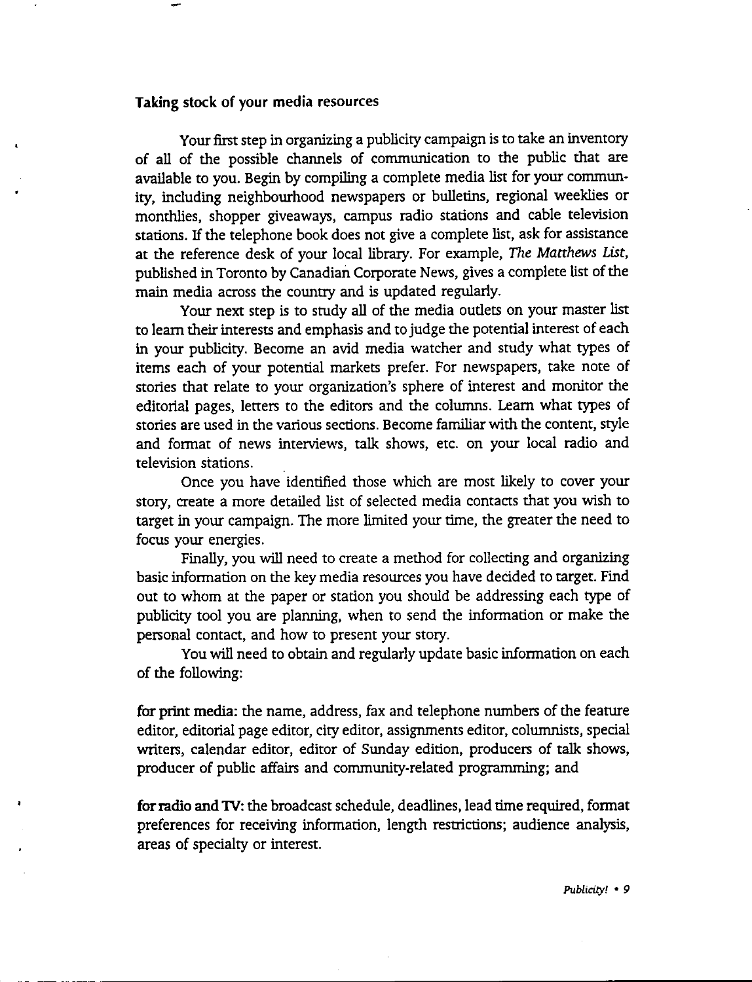#### **Taking** stock of your media resources

Your first step in organizing a publicity campaign is to take an inventory of all of the possible channels of communication to the public that are available to you. Begin by compiling a complete media list for your community, including neighbourhood newspapers or bulletins, regional weeklies or monthlies, shopper giveaways, campus radio stations and cable television stations. If the telephone book does not give a complete list, ask for assistance at the reference desk of your local library. For example, The *Matthews List,*  published in Toronto by Canadian Corporate News, gives a complete list of the main media across the country and is updated regularly.

Your next step is to study all of the media outlets on your master list to learn their interests and emphasis and to judge the potential interest of each in your publicity. Become an avid media watcher and study what types of items each of your potential markets prefer. For newspapers, take note of stories that relate to your organization's sphere of interest and monitor the editorial pages, letters to the editors and the columns. Learn what types of stories are used in the various sections. Become familiar with the content, style and format of news interviews, talk shows, etc. on your local radio and television stations.

Once you have identified those which are most likely to cover your story, create a more detailed list of selected media contacts that you wish to target in your campaign. The more limited your time, the greater the need to focus your energies.

Finally, you will need to create a method for collecting and organizing basic information on the key media resources you have decided to target. Find out to whom at the paper or station you should be addressing each type of publicity tool you are planning, when to send the information or make the personal contact, and how to present your story.

You will need to obtain and regularly update basic information on each of the following:

**for print media:** the name, address, fax and telephone numbers of the feature editor, editorial page editor, city editor, assignments editor, columnists, special writers, calendar editor, editor of Sunday edition, producers of talk shows, producer of public affairs and community-related programming; and

for radio and 1V: the broadcast schedule, deadlines, lead time required, format preferences for receiving information, length restrictions; audience analysis, areas of specialty or interest.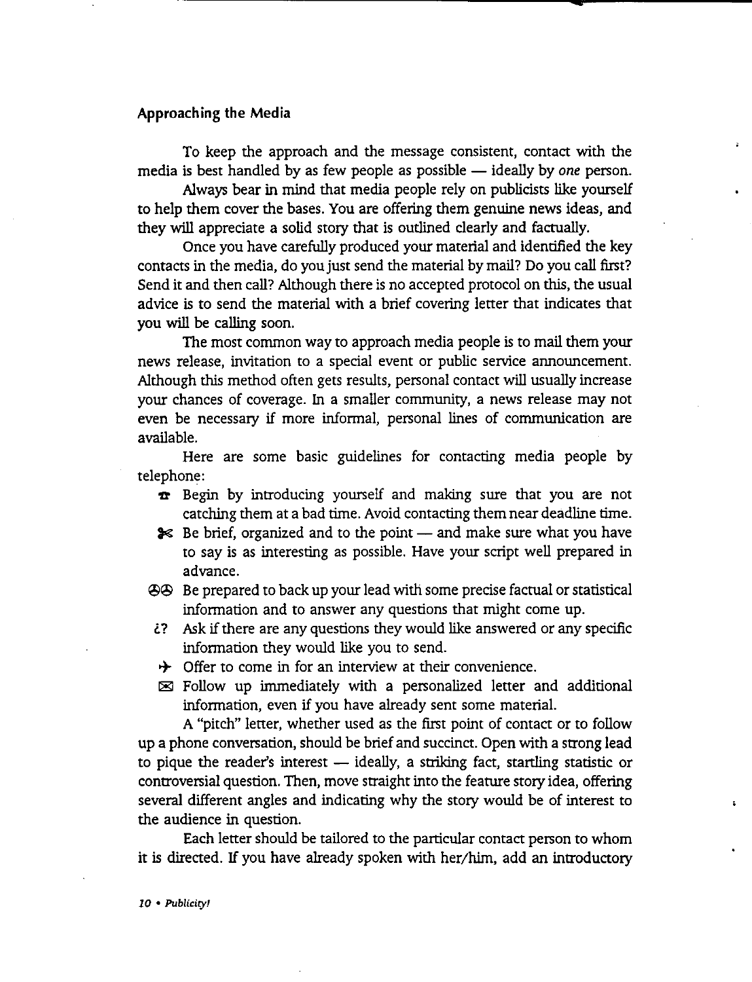#### **Approaching the Media**

To keep the approach and the message consistent, contact with the media is best handled by as few people as possible — ideally by *one* person.

Always bear in mind that media people rely on publicists like yourself to help them cover the bases. You are offering them genuine news ideas, and they will appreciate a solid story that is outlined clearly and factually.

Once you have carefully produced your material and identified the key contacts in the media, do you just send the material by mail? Do you call first? Send it and then call? Although there is no accepted protocol on this, the usual advice is to send the material with a brief covering letter that indicates that you will be calling soon.

The most common way to approach media people is to mail them your news release, invitation to a special event or public service announcement. Although this method often gets results, personal contact will usually increase your chances of coverage. In a smaller community, a news release may not even be necessary if more informal, personal lines of communication are available.

Here are some basic guidelines for contacting media people by telephone:

- **x** Begin by introducing yourself and making sure that you are not catching them at a bad time. Avoid contacting them near deadline time.
- **€** Be brief, organized and to the point and make sure what you have to say is as interesting as possible. Have your script well prepared in advance.
- @@ Be prepared to back up your lead with some precise factual or statistical information and to answer any questions that might come up.
- *l?* Ask if there are any questions they would like answered or any specific information they would like you to send.
- $\rightarrow$  Offer to come in for an interview at their convenience.
- $\boxtimes$  Follow up immediately with a personalized letter and additional information, even if you have already sent some material.

A "pitch" letter, whether used as the first point of contact or to follow up a phone conversation, should be brief and succinct. Open with a strong lead to pique the reader's interest  $-$  ideally, a striking fact, startling statistic or controversial question. Then, move straight into the feature story idea, offering several different angles and indicating why the story would be of interest to the audience in question.

Each letter should be tailored to the particular contact person to whom it is directed. If you have already spoken with her/him, add an introductory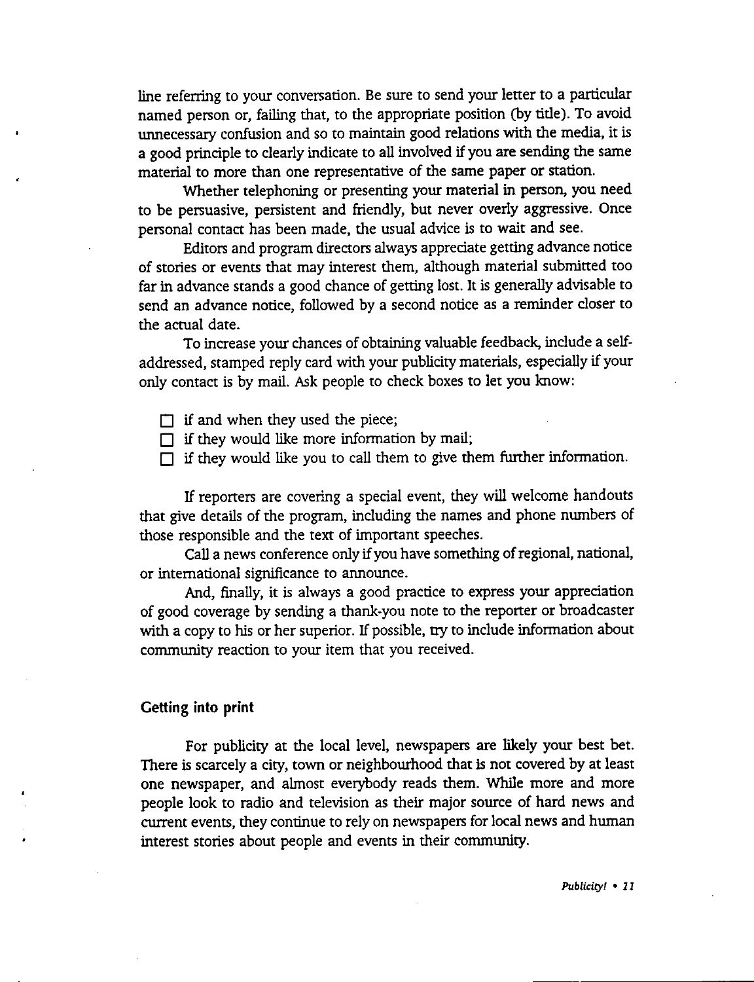line referring to your conversation. Be sure to send your letter to a particular named person or, failing that, to the appropriate position (by title). To avoid unnecessary confusion and so to maintain good relations with the media, it is a good principle to clearly indicate to all involved if you are sending the same material to more than one representative of the same paper or station.

Whether telephoning or presenting your material in person, you need to be persuasive, persistent and friendly, but never overly aggressive. Once personal contact has been made, the usual advice is to wait and see.

Editors and program directors always appreciate getting advance notice of stories or events that may interest them, although material submitted too far in advance stands a good chance of getting lost. It is generally advisable to send an advance notice, followed by a second notice as a reminder closer to the actual date.

To increase your chances of obtaining valuable feedback, include a selfaddressed, stamped reply card with your publicity materials, especially if your only contact is by mail. Ask people to check boxes to let you know:

 $\Box$  if and when they used the piece;

 $\Box$  if they would like more information by mail;

 $\Box$  if they would like you to call them to give them further information.

If reporters are covering a special event, they will welcome handouts that give details of the program, including the names and phone numbers of those responsible and the text of important speeches.

Call a news conference only if you have something of regional, national, or international significance to announce.

And, finally, it is always a good practice to express your appreciation of good coverage by sending a thank-you note to the reporter or broadcaster with a copy to his or her superior. If possible, try to include information about community reaction to your item that you received.

#### **Getting into print**

For publicity at the local level, newspapers are likely your best bet. There is scarcely a city, town or neighbourhood that is not covered by at least one newspaper, and almost everybody reads them. While more and more people look to radio and television as their major source of hard news and current events, they continue to rely on newspapers for local news and human interest stories about people and events in their community.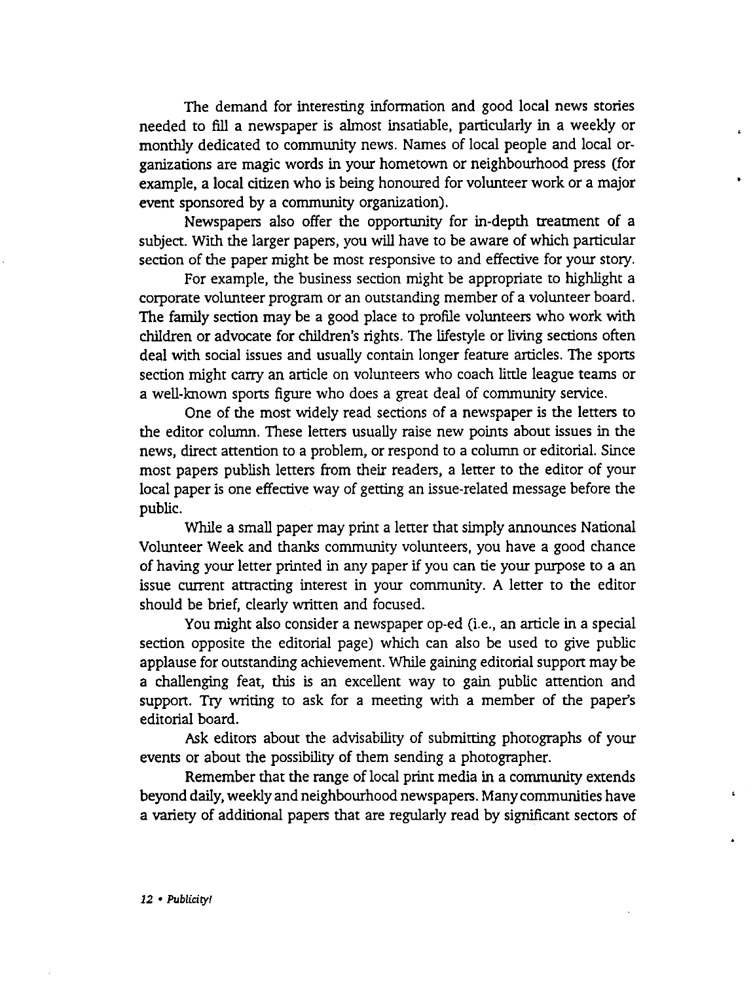The demand for interesting information and good local news stories needed to fill a newspaper is almost insatiable, particularly in a weekly or monthly dedicated to community news. Names of local people and local organizations are magic words in your hometown or neighbourhood press (for example, a local citizen who is being honoured for volunteer work or a major event sponsored by a community organization).

Newspapers also offer the opportunity for in-depth treatment of a subject. With the larger papers, you will have to be aware of which particular section of the paper might be most responsive to and effective for your story.

For example, the business section might be appropriate to highlight a corporate volunteer program or an outstanding member of a volunteer board. The family section may be a good place to profile volunteers who work with children or advocate for children's rights. The lifestyle or living sections often deal with social issues and usually contain longer feature articles. The sports section might carry an article on volunteers who coach little league teams or a well-known sports figure who does a great deal of community service.

One of the most widely read sections of a newspaper is the letters to the editor column. These letters usually raise new points about issues in the news, direct attention to a problem, or respond to a column or editorial. Since most papers publish letters from their readers, a letter to the editor of your local paper is one effective way of getting an issue-related message before the public.

While a small paper may print a letter that simply announces National Volunteer Week and thanks community volunteers, you have a good chance of having your letter printed in any paper if you can tie your purpose to a an issue current attracting interest in your community. A letter to the editor should be brief, clearly written and focused.

You might also consider a newspaper op-ed (i.e., an article in a special section opposite the editorial page) which can also be used to give public applause for outstanding achievement. While gaining editorial support may be **a** challenging feat, this is an excellent way to gain public attention and support. Try writing to ask for a meeting with a member of the paper's editorial board.

**Ask** editors about the advisability of submitting photographs of your events or about the possibility of them sending a photographer.

Remember that the range of local print media in a community extends beyond daily, weekly and neighbourhood newspapers. Many communities have a variety of additional papers that are regularly read by significant sectors of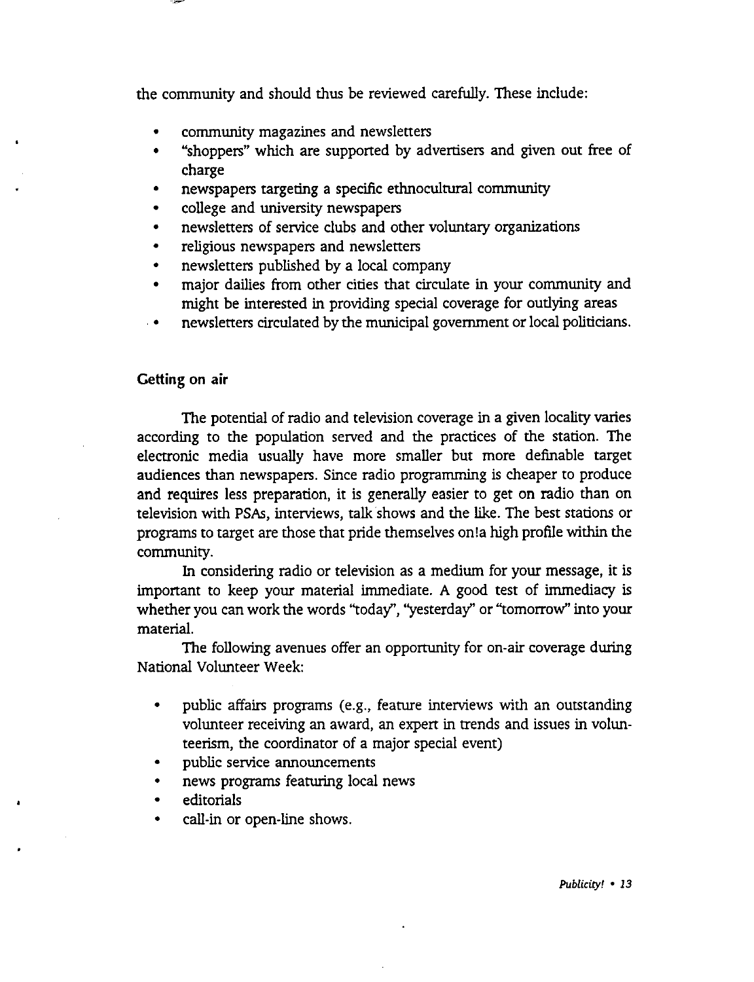the community and should thus be reviewed carefully. These include:

- community magazines and newsletters
- "shoppers" which are supported by advertisers and given out free of charge
- newspapers targeting a specific ethnocultural community
- college and university newspapers
- newsletters of service clubs and other voluntary organizations
- religious newspapers and newsletters
- newsletters published by a local company
- major dailies from other cities that circulate in your community and might be interested in providing special coverage for outlying areas
- • newsletters circulated by the municipal government or local politicians.

#### **Getting on air**

The potential of radio and television coverage in a given locality varies according to the population served and the practices of the station. The electronic media usually have more smaller but more definable target audiences than newspapers. Since radio programming is cheaper to produce and requires less preparation, it is generally easier to get on radio than on television with PSAs, interviews, talk shows and the like. The best stations or programs to target are those that pride themselves on!a high profile within the community.

In considering radio or television as a medium for your message, it is important to keep your material immediate. A good test of immediacy is whether you can work the words ''today", "yesterday" or ''tomorrow'' into your material.

The following avenues offer an opportunity for on-air coverage during National Volunteer Week:

- public affairs programs (e.g., feature interviews with an outstanding volunteer receiving an award, an expert in trends and issues in volunteerism, the coordinator of a major special event)
- public service announcements
- news programs featuring local news
- editorials
- call-in or open-line shows.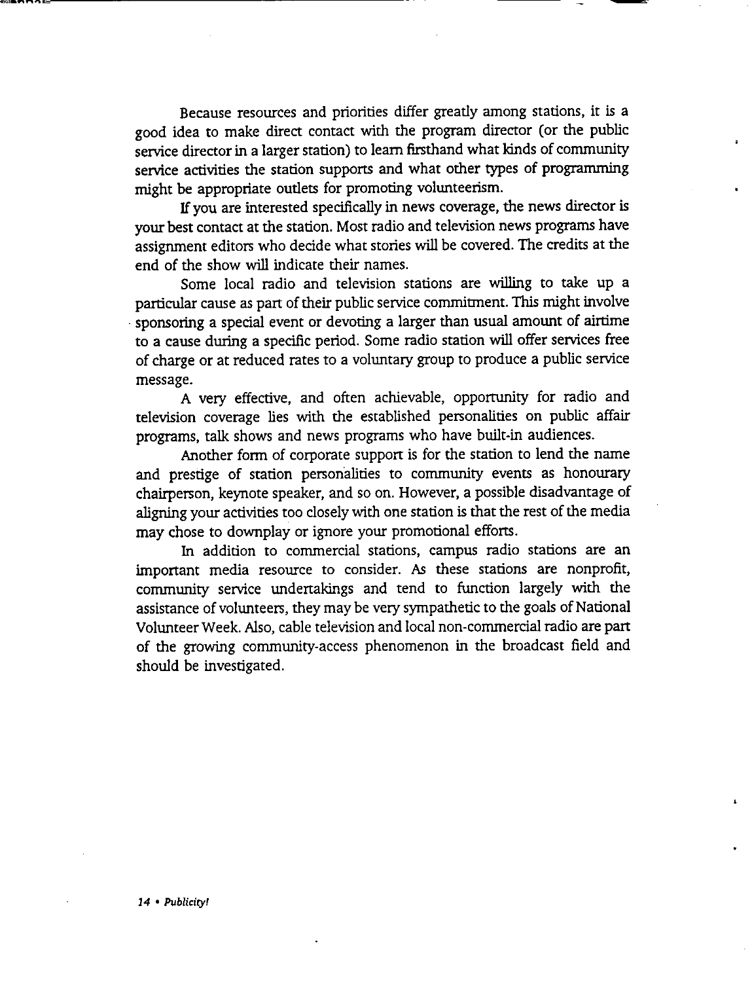Because resources and priorities differ greatly among stations, it is a good idea to make direct contact with the program director (or the public service director in a larger station) to learn firsthand what kinds of community service activities the station supports and what other types of programming might be appropriate outlets for promoting volunteerism.

If you are interested specifically in news coverage, the news director is your best contact at the station. Most radio and television news programs have assignment editors who decide what stories will be covered. The credits at the end of the show will indicate their names.

Some local radio and television stations are willing to take up a particular cause as part of their public service commitment. This might involve • sponsoring a special event or devoting a larger than usual amount of airtime to a cause during a specific period. Some radio station will offer services free of charge or at reduced rates to a voluntary group to produce a public service message.

A very effective, and often achievable, opportunity for radio and television coverage lies with the established personalities on public affair programs, talk shows and news programs who have built-in audiences.

Another form of corporate support is for the station to lend the name and prestige of station personalities to community events as honourary chairperson, keynote speaker, and so on. However, a possible disadvantage of aligning your activities too closely with one station is that the rest of the media may chose to downplay or ignore your promotional efforts.

In addition to commercial stations, campus radio stations are an important media resource to consider. As these stations are nonprofit, community service undertakings and tend to function largely with the assistance of volunteers, they may be very sympathetic to the goals of National Volunteer Week. Also, cable television and local non-commercial radio are part of the growing community-access phenomenon in the broadcast field and should be investigated.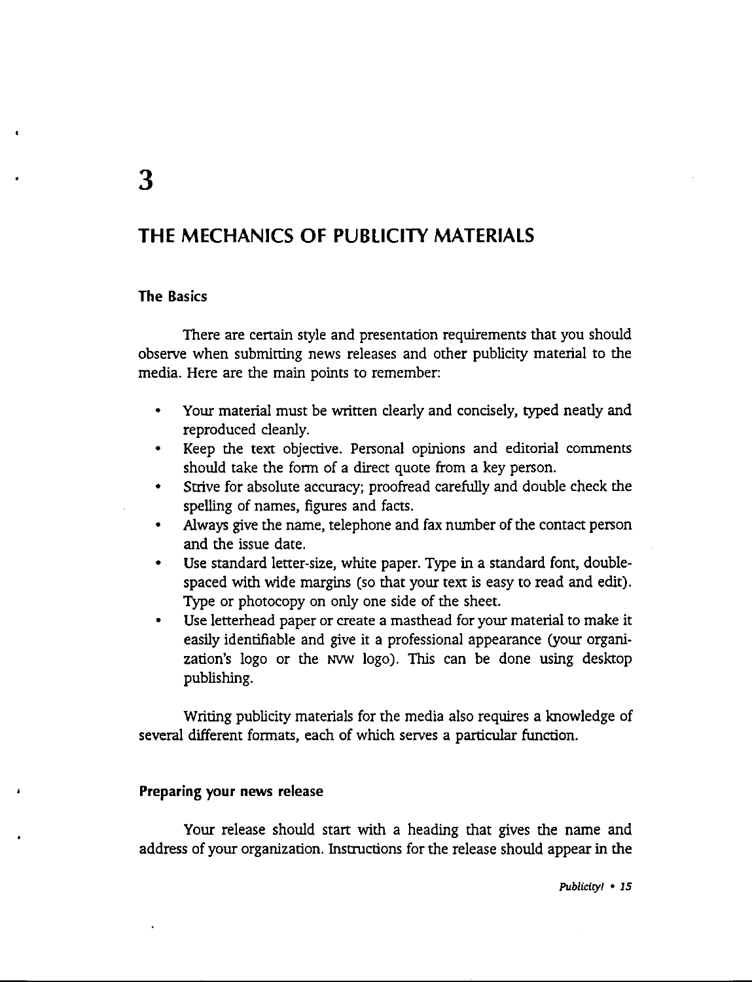# **THE MECHANICS OF PUBLICITY MATERIALS**

#### **The Basics**

There are certain style and presentation requirements that you should observe when submitting news releases and other publicity material to the media. Here are the main points to remember:

- Your material must be written clearly and concisely, typed neatly and reproduced cleanly.
- Keep the text objective. Personal opinions and editorial comments should take the form of a direct quote from a key person.
- Strive for absolute accuracy; proofread carefully and double check the spelling of names, figures and facts.
- Always give the name, telephone and fax number of the contact person and the issue date.
- Use standard letter-size, white paper. Type in a standard font, doublespaced with wide margins (so that your text is easy to read and edit). Type or photocopy on only one side of the sheet.
- Use letterhead paper or create a masthead for your material to make it easily identifiable and give it a professional appearance (your organization's logo or the NVW logo). This can be done using desktop publishing.

Writing publicity materials for the media also requires a knowledge of several different formats, each of which serves a particular function.

#### **Preparing your news release**

Your release should start with a heading that gives the name and address of your organization. Instructions for the release should appear in the

*Publicity/* • *15*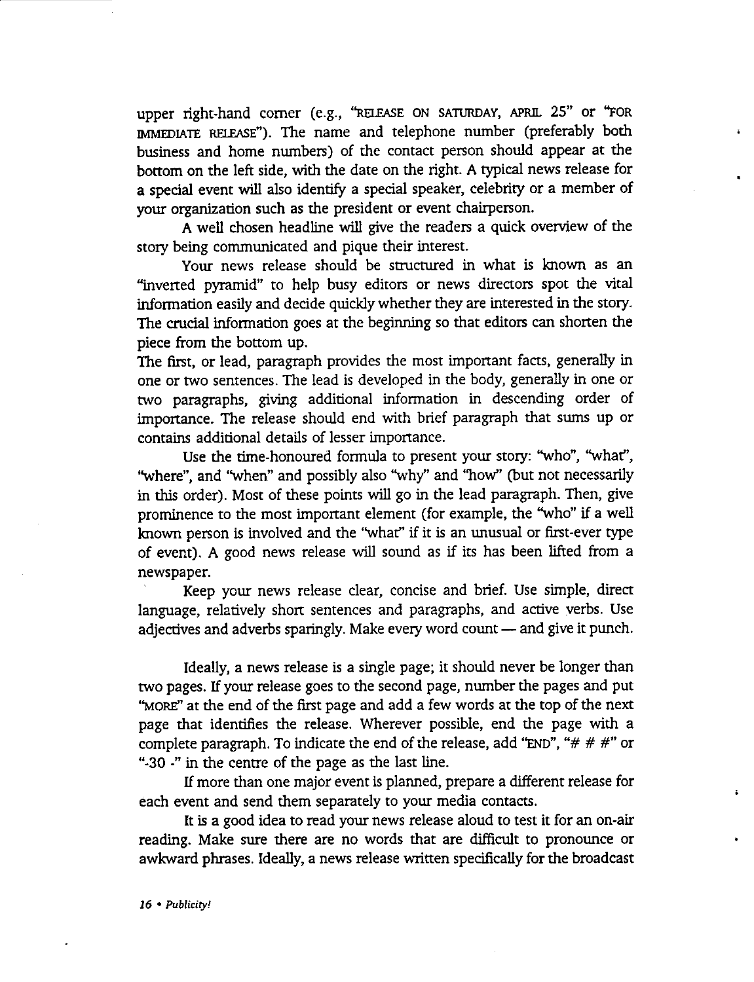upper right-hand corner (e.g., "RELEASE ON SATURDAY, APRIL 25" or "FOR IMMEDIATE RELEASE"). The name and telephone number (preferably both business and home numbers) of the contact person should appear at the bottom on the left side, with the date on the right. A typical news release for a special event will also identify a special speaker, celebrity or a member of your organization such as the president or event chairperson.

A well chosen headline will give the readers a quick overview of the story being communicated and pique their interest.

Your news release should be structured in what is known as an ''inverted pyramid" to help busy editors or news directors spot the vital information easily and decide quickly whether they are interested in the stoty. The crucial information goes at the beginning so that editors can shorten the piece from the bottom up.

The first, or lead, paragraph provides the most important facts, generally in one or two sentences. The lead is developed in the body, generally in one or two paragraphs, giving additional information in descending order of importance. The release should end with brief paragraph that sums up or contains additional details of lesser importance.

Use the time-honoured formula to present your story: ''who", "what'', "where", and "when" and possibly also "why" and "how" (but not necessarily in this order). Most of these points will go in the lead paragraph. Then, give prominence to the most important element (for example, the "who" if a well known person is involved and the "what" if it is an unusual or first-ever type of event). A good news release will sound as if its has been lifted from a newspaper.

Keep your news release clear, concise and brief. Use simple, direct language, relatively short sentences and paragraphs, and active verbs. Use adjectives and adverbs sparingly. Make every word count - and give it punch.

Ideally, a news release is a single page; it should never be longer than two pages. If your release goes to the second page, number the pages and put "MORE" at the end of the first page and add a few words at the top of the next page that identifies the release. Wherever possible, end the page with a complete paragraph. To indicate the end of the release, add "END", " $# # #"$  or "-30 -" in the centre of the page as the last line.

If more than one major event is planned, prepare a different release for each event and send them separately to your media contacts.

It is a good idea to read your news release aloud to test it for an on-air reading. Make sure there are no words that are difficult to pronounce or awkward phrases. Ideally, a news release written specifically for the broadcast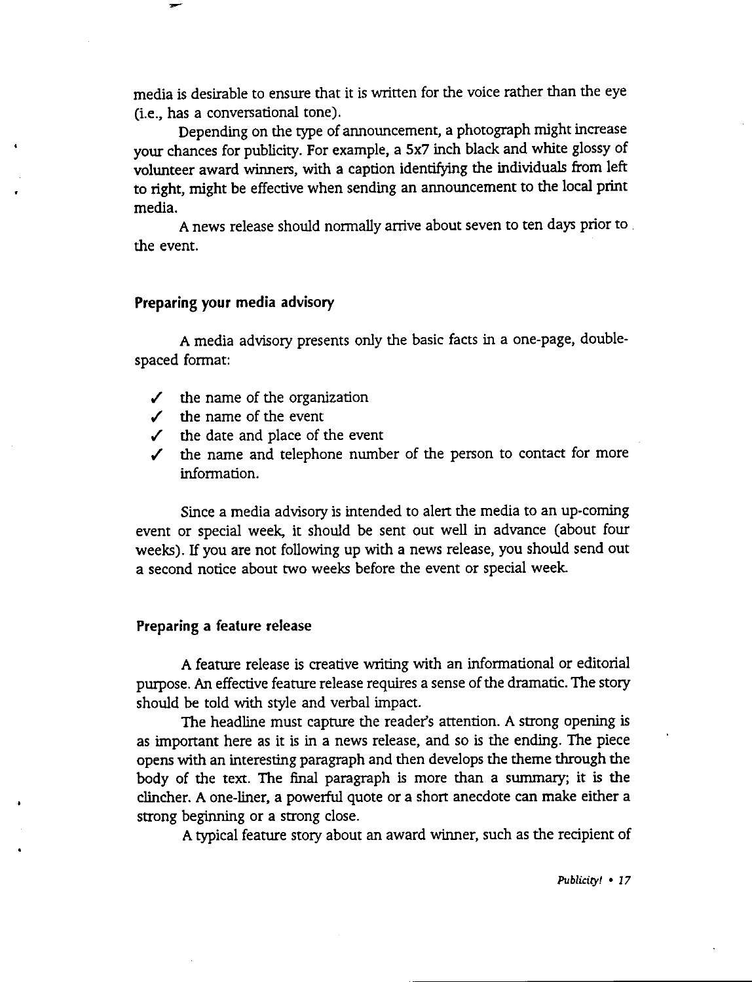media is desirable to ensure that it is written for the voice rather than the eye (i.e., has a conversational tone).

Depending on the type of announcement, a photograph might increase your chances for publicity. For example, a Sx7 inch black and white glossy of volunteer award winners, with a caption identifying the individuals from left to right, might be effective when sending an announcement to the local print media.

**A** news release should normally arrive about seven to ten days prior to . the event.

#### **Preparing your media advisory**

**A** media advisory presents only the basic facts in a one-page, doublespaced format:

- ✓ the name of the organization
- $\checkmark$  the name of the event
- $\checkmark$  the date and place of the event
- ✓ the name and telephone number of the person to contact for more information.

Since a media advisory is intended to alert the media to an up-coming event or special week, it should be sent out well in advance (about four weeks). If you are not following up with a news release, you should send out a second notice about two weeks before the event or special week.

#### **Preparing a feature release**

A feature release is creative writing with an informational or editorial purpose. An effective feature release requires a sense of the dramatic. The story should be told with style and verbal impact.

The headline must capture the reader's attention. A strong opening is as important here as it is in a news release, and so is the ending. The piece opens with an interesting paragraph and then develops the theme through the body of the text. The final paragraph is more than a summary; it is the clincher. A one-liner, a powerful quote or a short anecdote can make either a strong beginning or a strong close.

A typical feature story about an award winner, such as the recipient of

*Publicity!* • *I* 7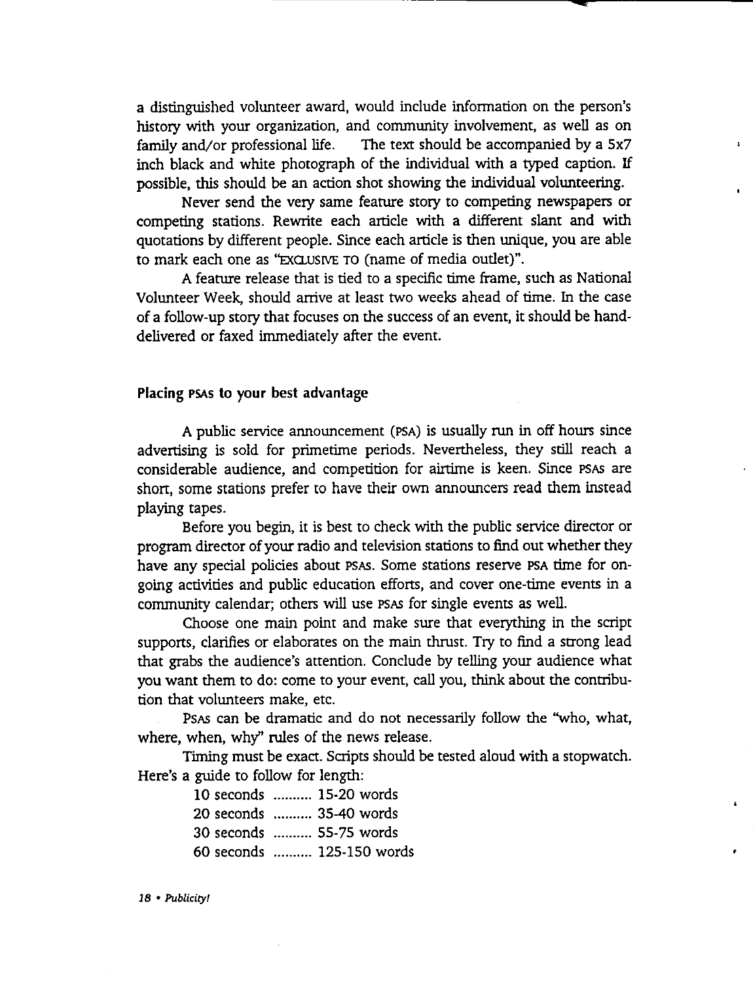a distinguished volunteer award, would include information on the person's history with your organization, and community involvement, as well as on family and/or professional life. The text should be accompanied by a 5x7 inch black and white photograph of the individual with a typed caption. If possible, this should be an action shot showing the individual volunteering.

 $\mathbf{r}$ 

Never send the very same feature story to competing newspapers or competing stations. Rewrite each article with a different slant and with quotations by different people. Since each article is then unique, you are able to mark each one as "EXCLUSIVE TO (name of media outlet)".

A feature release that is tied to a specific time frame, such as National Volunteer Week, should arrive at least two weeks ahead of time. In the case of a follow-up story that focuses on the success of an event, it should be handdelivered or faxed immediately after the event.

#### **Placing PSAs to your best advantage**

A public service announcement (PSA) is usually run in off hours since advertising is sold for primetime periods. Nevertheless, they still reach a considerable audience, and competition for airtime is keen. Since PSAS are short, some stations prefer to have their own announcers read them instead playing tapes.

Before you begin, it is best to check with the public service director or program director of your radio and television stations to find out whether they have any special policies about PSAS. Some stations reserve PSA time for ongoing activities and public education effons, and cover one-time events in a community calendar; others will use PSAS for single events as well.

Choose one main point and make sure that everything in the script supports, clarifies or elaborates on the main thrust. Try to find a strong lead that grabs the audience's attention. Conclude by telling your audience what you want them to do: come to your event, call you, think about the contribution that volunteers make, etc.

PsAS can be dramatic and do not necessarily follow the ''who, what, where, when, why" rules of the news release.

Timing must be exact. Scripts should be tested aloud with a stopwatch. Here's a guide to follow for length:

| 10 seconds  15-20 words   |
|---------------------------|
| 20 seconds  35-40 words   |
| 30 seconds  55-75 words   |
| 60 seconds  125-150 words |

*18* • *Publicity!*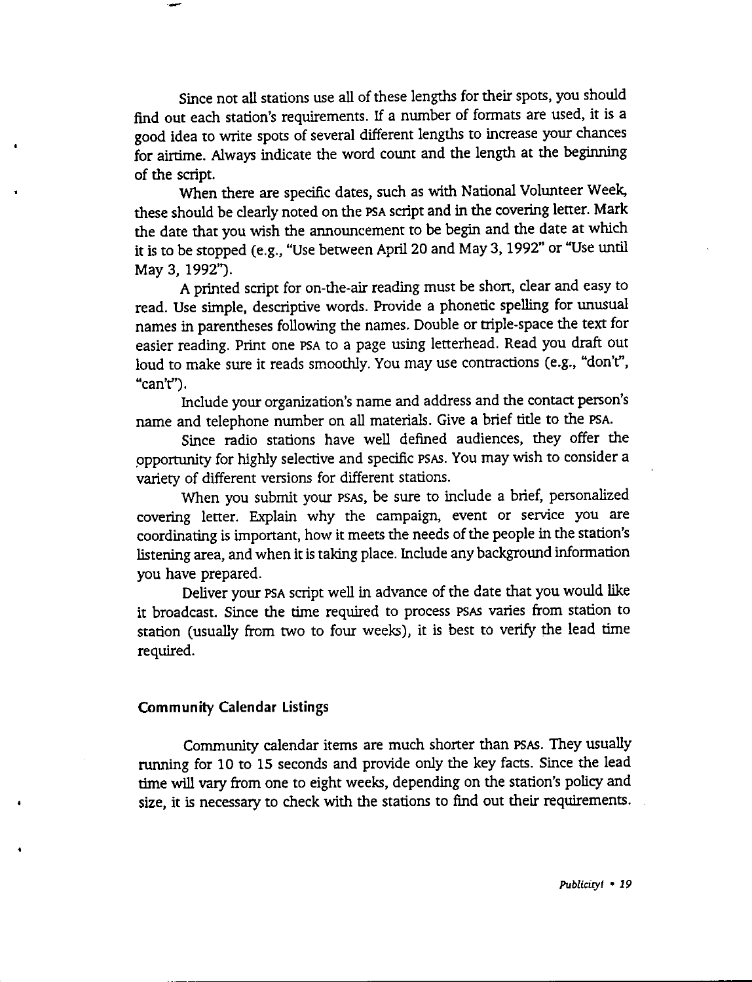Since not all stations use all of these lengths for their spots, you should find out each station's requirements. If a number of formats are used, it is a good idea to write spots of several different lengths to increase your chances for airtime. Always indicate the word count and the length at the beginning of the script.

When there are specific dates, such as with National Volunteer Week, these should be clearly noted on the PSA script and in the covering letter. Mark the date that you wish the announcement to be begin and the date at which it is to be stopped (e.g., "Use between April 20 and May 3, 1992" or "Use until May 3, 1992").

A printed script for on-the-air reading must be shon, clear and easy to read. Use simple, descriptive words. Provide a phonetic spelling for unusual names in parentheses following the names. Double or triple-space the text for easier reading. Print one PSA to a page using letterhead. Read you draft out loud to make sure it reads smoothly. You may use contractions (e.g., "don't'', "can't'').

Include your organization's name and address and the contact person's name and telephone number on all materials. Give a brief title to the PSA.

Since radio stations have well defined audiences, they offer the ppportunity for highly selective and specific PSAS. You may wish to consider a variety of different versions for different stations.

When you submit your PSAS, be sure to include a brief, personalized covering letter. Explain why the campaign, event or service you are coordinating is important, how it meets the needs of the people in the station's listening area, and when it is taking place. Include any background information you have prepared.

Deliver your PSA script well in advance of the date that you would like it broadcast. Since the time required to process PSAS varies from station to station (usually from two to four weeks), it is best to verify the lead time required.

#### **Community Calendar Listings**

Community calendar items are much shorter than PSAS. They usually running for 10 to 15 seconds and provide only the key facts. Since the lead time will vary from one to eight weeks, depending on the station's policy and size, it is necessary to check with the stations to find out their requirements.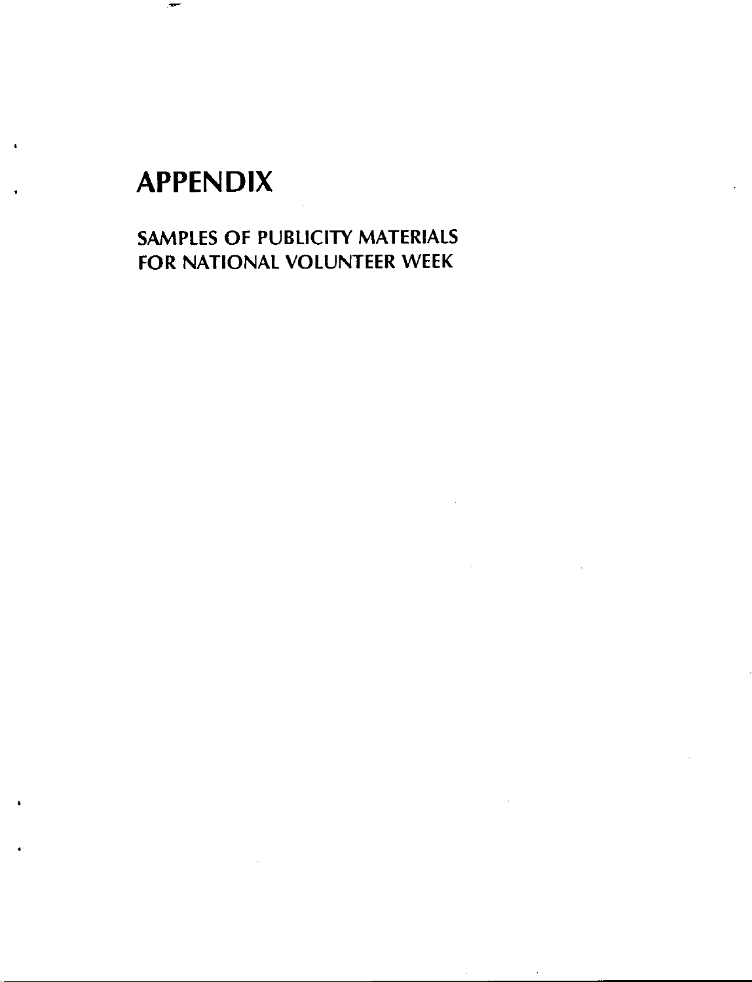# **APPENDIX**

•

SAMPLES OF PUBLICITY MATERIALS FOR NATIONAL VOLUNTEER WEEK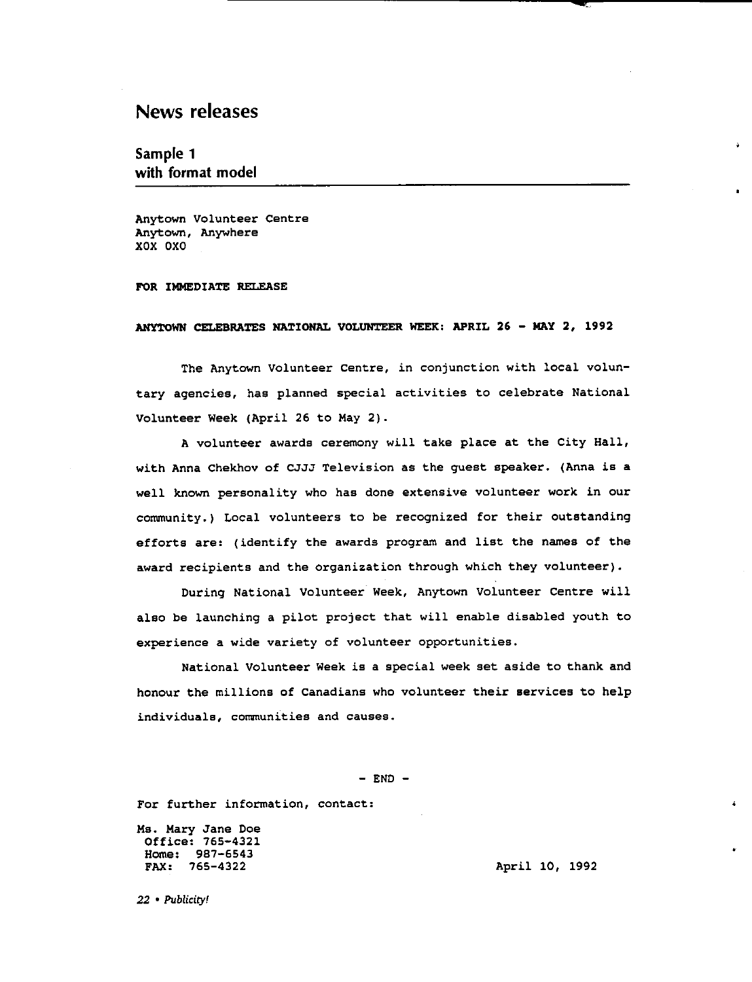## News releases

#### Sample 1 with format model

Anytown Volunteer Centre Anytown, Anywhere XOX OXO

#### FOR IMMEDIATE RELEASE

#### **ANYTOWN CELEBRATES NATIONAL VOLUNTEER WEEK: APRIL 26** - **MAY 2, 1992**

The Anytown Volunteer Centre, in conjunction with local voluntary agencies, has planned special activities to celebrate National Volunteer Week (April 26 to May 2).

**A** volunteer awards ceremony will take place at the City Hall, with Anna Chekhov of CJJJ Television as the guest speaker. (Anna **is a well known personality who has done extensive volunteer work in our**  community.) Local volunteers to be recognized for their outstanding efforts are: (identify the awards program and list the names of the **award recipients and the organization through which they volunteer).** 

During National Volunteer Week, Anytown Volunteer Centre will also be launching a pilot project that will enable disabled youth to **experience a wide variety of volunteer opportunities.** 

National Volunteer Week is a special week set aside to thank and honour the millions of Canadians who volunteer their services to help **individuals, communities and causes.** 

 $-$  END  $-$ 

**For further information, contact:** 

Ms. Mary Jane Doe Office: 765-4321 Home: 987-6543 FAX: 765-4322

April 10, 1992

*22* • *Publicity!*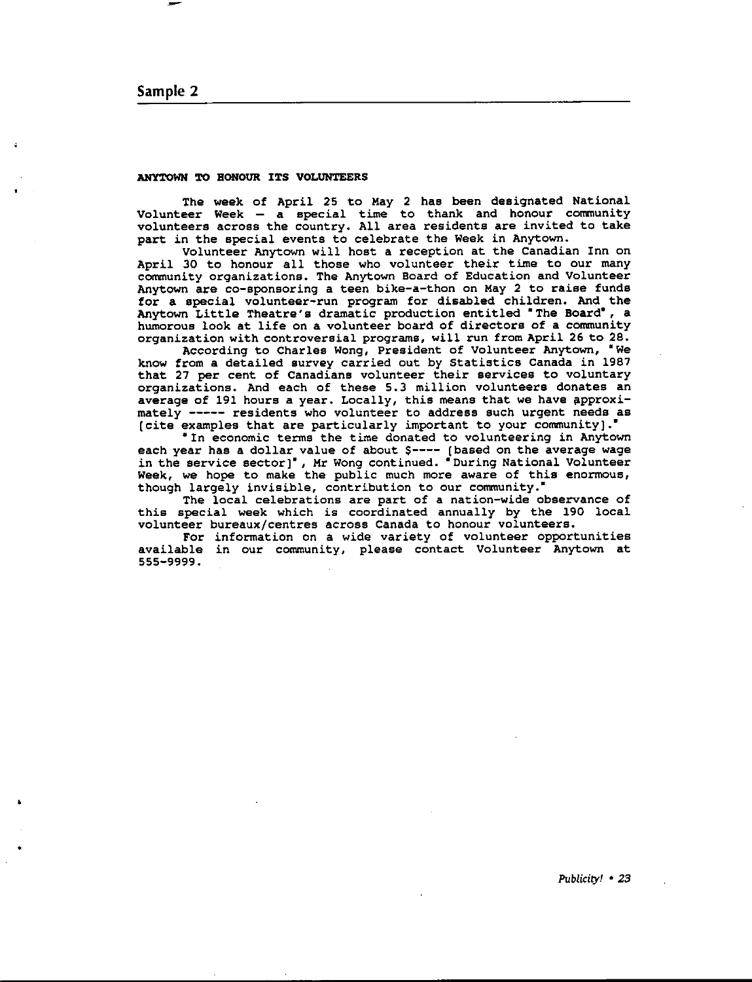#### Sample 2

•

#### **ANYTOWN TO HONOUR** ITS VOLUNTEERS

The week of April 25 to May 2 has been designated National Volunteer Week - **a** special time to thank and honour community volunteers across the country. All area residents are invited to take part in the special events to celebrate the Week in Anytown.

Volunteer Anytown will host a reception at the Canadian Inn on April 30 to honour all those who volunteer their time to our many **community organizations. The Anytown Board of Education and Volunteer**  Anytown are co-sponsoring **a** teen bike-a-then on May 2 to **raise** funds for **a** special volunteer-run program for disabled children. And the Anytown Little Theatre's dramatic production entitled 'The Board', a humorous look at life on a volunteer board of directors of a community **organization with controversial programs, will run from April 26 to 28.** 

According to Charles Wong, President of Volunteer Anytown, 'We know from a detailed survey carried out by Statistics Canada in 1987 **that 27 per cent of Canadians volunteer their services to voluntary**  organizations. And each of these 5. 3 million volunteers donates an average of 191 hours a year. Locally, this means that we have approx mately----- residents who volunteer to address such urgent needs as [cite examples that are particularly important to your community].'

**•tn economic terms the time donated to volunteering in Anytown**  each year has a dollar value of about \$---- [based on the average wage in the service sector]", Mr Wong continued. **"**During National Voluntee **Week, we hope to make the public much more aware of this enormous, though largely invisible, contribution to our community.•** 

**The local celebrations are part of a nation-wide observance of**  this special week which is coordinated annually by the 190 local **volunteer bureaux/centres across Canada to honour volunteers.** 

**For information on a wide variety of volunteer opportunities available in our community, please contact Volunteer Anytown at**  555-9999 .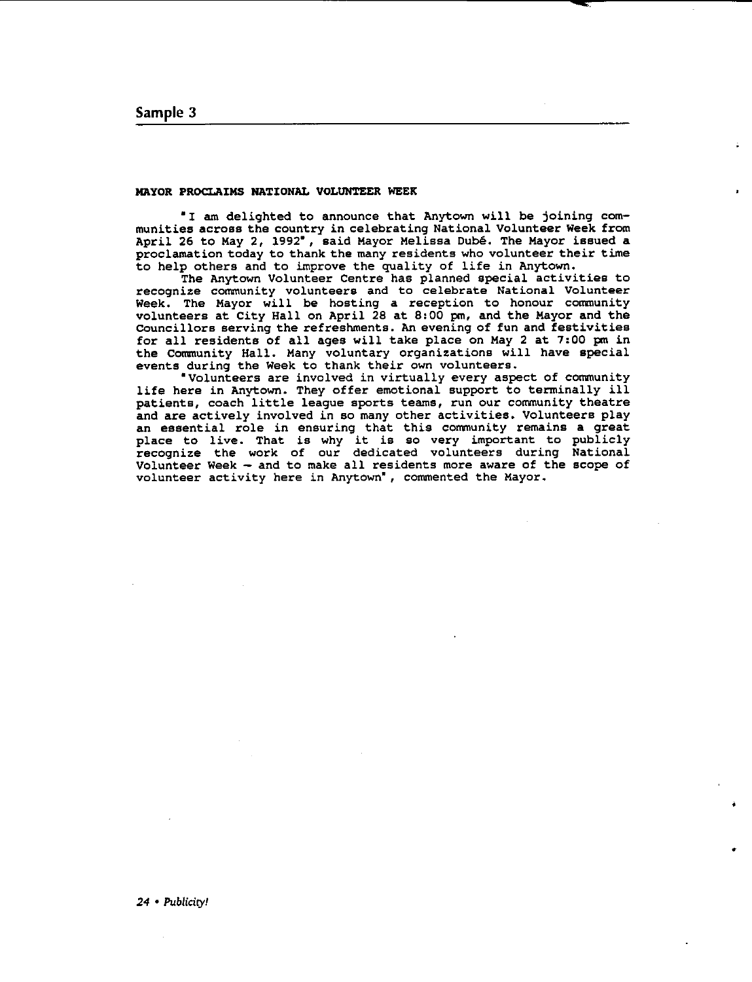#### **MAYOR PROCLAIMS** NATIONAL VOLUNTEER WEEK

"I am delighted to announce that Anytown will be joining com**munities across the country in celebrating National Volunteer Week from**  April 26 to May 2, 1992", said Mayor Melissa Dube. The Mayor issued a proclamation today to thank the many residents who volunteer their time to help others and to improve the quality of life in Anytown.

The Anytown Volunteer Centre has planned special activities to **recognize community volunteers and to celebrate National Volunteer**  Week. The Mayor will be hosting a reception to honour community volunteers at City Hall on April 28 at 8:00 pm, and the Mayor and the councillors serving the refreshments. An evening of fun and festivities for all residents of all ages will take place on May 2 at 7:00 pm in the Community Hall. Many voluntary organizations will have specia events during the Week to thank their own voluntee:

**•volunteers are involved in virtually every aspect of community**  life here in Anytown. They offer emotional support to terminally ill patients, coach little league sports teams, run our community theatre and are actively involved in so many other activities. Volunteers play **an essential role in ensuring that this community remains a great**  place to live. That is why it is so very important to public **recognize the work of our dedicated volunteers during National**  Volunteer Week  $-$  and to make all residents more aware of the scope of **volunteer activity here in Anytown•, commented the Mayor.** 

•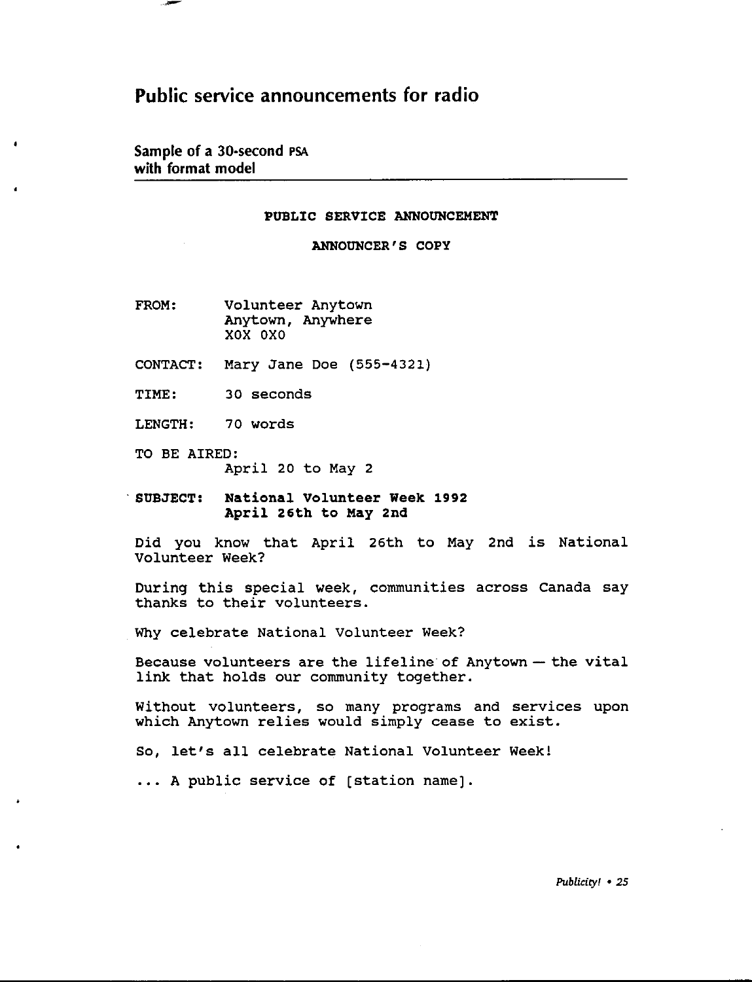## Public service announcements for radio

Sample of a 30-second PSA with format model

 $\blacksquare$ 

#### PUBLIC SERVICE ANNOUNCEMENT

ANNOUNCER'S COPY

- FROM: Volunteer Anytown Anytown, Anywhere xox oxo
- CONTACT: Mary Jane Doe (555-4321)
- TIME: 30 seconds
- LENGTH: 70 words
- TO BE AIRED: April 20 to May 2
- · **SUBJECT: National Volunteer Week 1992 April 26th to May 2nd**

Did you know that April 26th to May 2nd is National Volunteer Week?

During this special week, communities across Canada say thanks to their volunteers.

Why celebrate National Volunteer Week?

Because volunteers are the lifeline of Anytown - the vital link that holds our community together.

Without volunteers, so many programs and services upon which Anytown relies would simply cease to exist.

So, let's all celebrate National Volunteer Week!

... A public service of [station name].

Publicity! • 25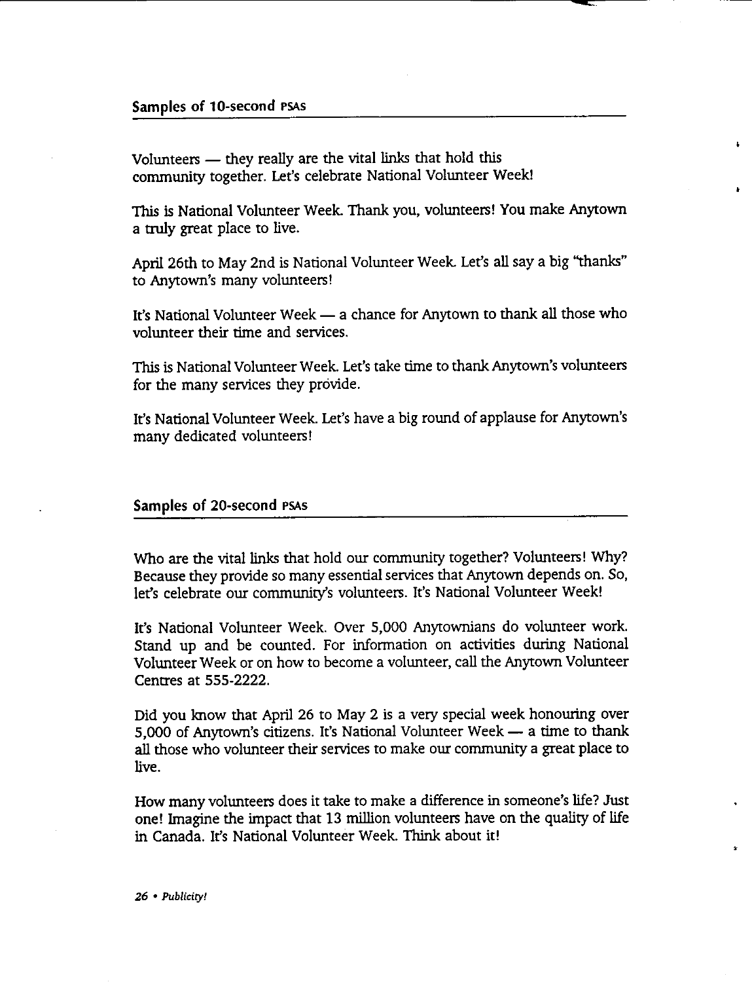#### Samples of 10-second PSAs

Volunteers - they really are the vital links that hold this community together. Let's celebrate National Volunteer Week!

This is National Volunteer Week. Thank you, volunteers! You make Anytown a truly great place to live.

ŧ.

April 26th to May 2nd is National Volunteer Week. Let's all say a big ''thanks" to Anytown's many volunteers!

It's National Volunteer Week - a chance for Anytown to thank all those who volunteer their time and services.

This is National Volunteer Week. Let's take time to thank Anytown's volunteers for the many services they provide.

It's National Volunteer Week. Let's have a big round of applause for Anytown's many dedicated volunteers!

#### Samples of 20-second PSAs

Who are the vital links that hold our community together? Volunteers! Why? Because they provide so many essential services that Anytown depends on. So, let's celebrate our community's volunteers. It's National Volunteer Week!

It's National Volunteer Week. Over 5,000 Anytownians do volunteer work. Stand up and be counted. For information on activities during National Volunteer Week or on how to become a volunteer, call the Anytown Volunteer Centres at 555-2222.

Did you know that April 26 to May 2 is a very special week honouring over 5,000 of Anytown's citizens. It's National Volunteer Week - a time to thank all those who volunteer their services to make our community a great place to live.

How many volunteers does it take to make a difference in someone's life? Just one! Imagine the impact that 13 million volunteers have on the quality of life in Canada. It's National Volunteer Week. Think about it!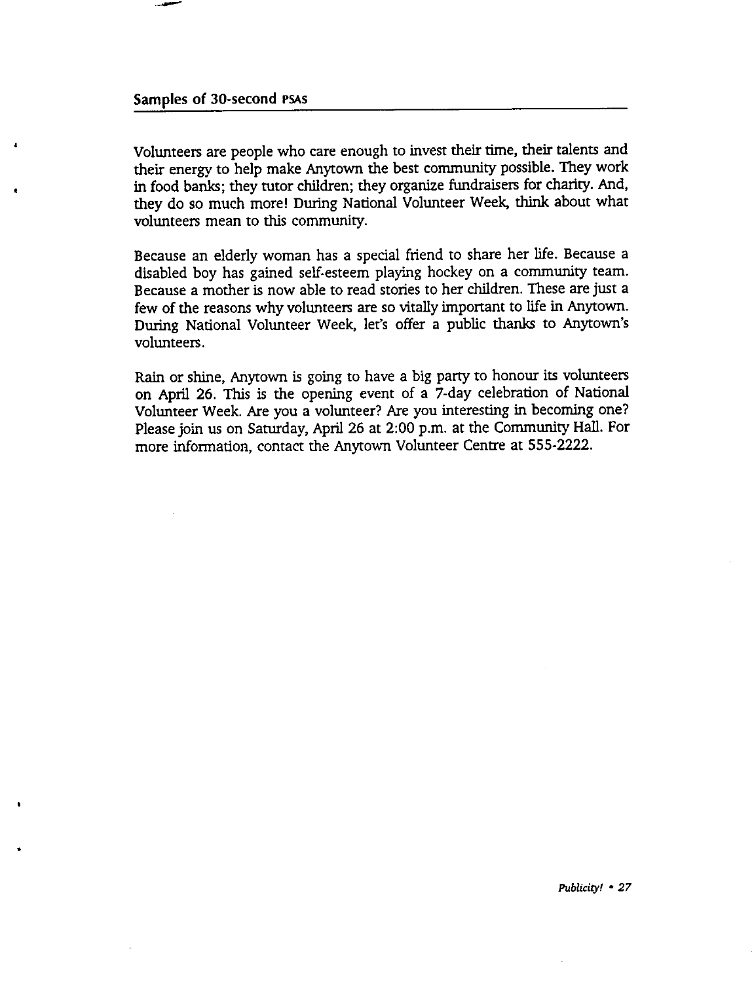--

•

Volunteers are people who care enough to invest their time, their talents and their energy to help make Anytown the best community possible. They work **in** food banks; they tutor children; they organize fundraisers for charity. And, they do so much more! During National Volunteer Week, think about what volunteers mean to this community.

Because an elderly woman has a special friend to share her life. Because a disabled boy has gained self-esteem playing hockey on a community team. Because a mother is now able to read stories to her children. These are just a few of the reasons why volunteers are so vitally important to life in Anytown. During National Volunteer Week, let's offer a public thanks to Anytown's volunteers.

Rain or shine, Anytown is going to have a big pany to honour its volunteers on April 26. This is the opening event of a 7-day celebration of National Volunteer Week. Are you a volunteer? Are you interesting in becoming one? Please join us on Saturday, April 26 at 2:00 p.m. at the Community Hall. For more information, contact the Anytown Volunteer Centre at 555-2222 .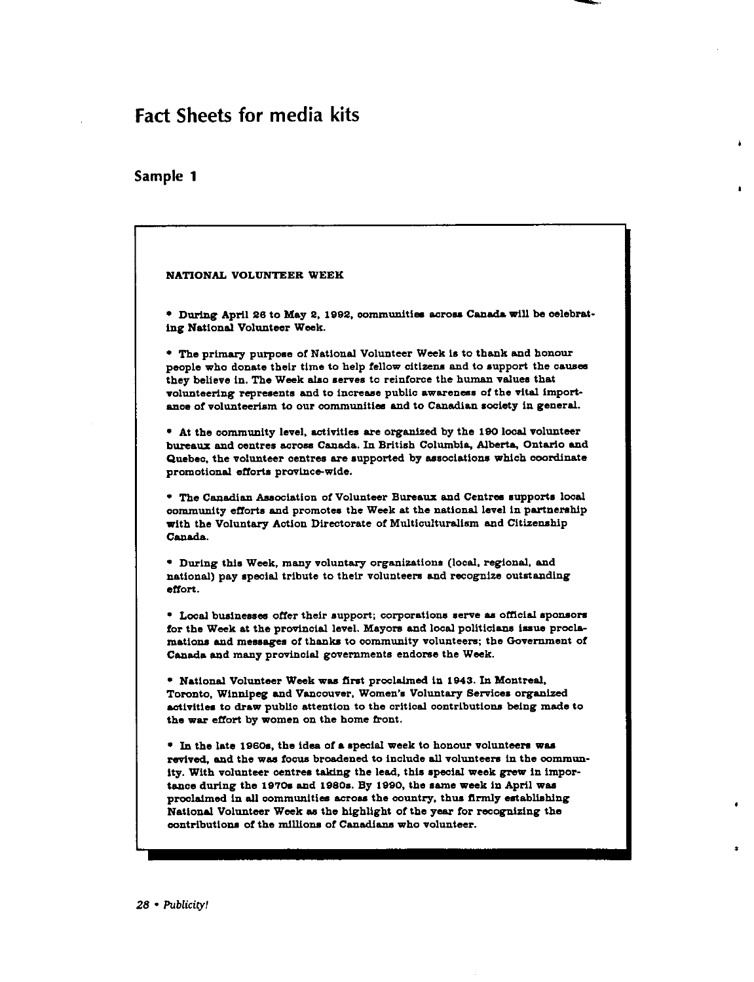# Fact Sheets for media kits

#### Sample 1



Â.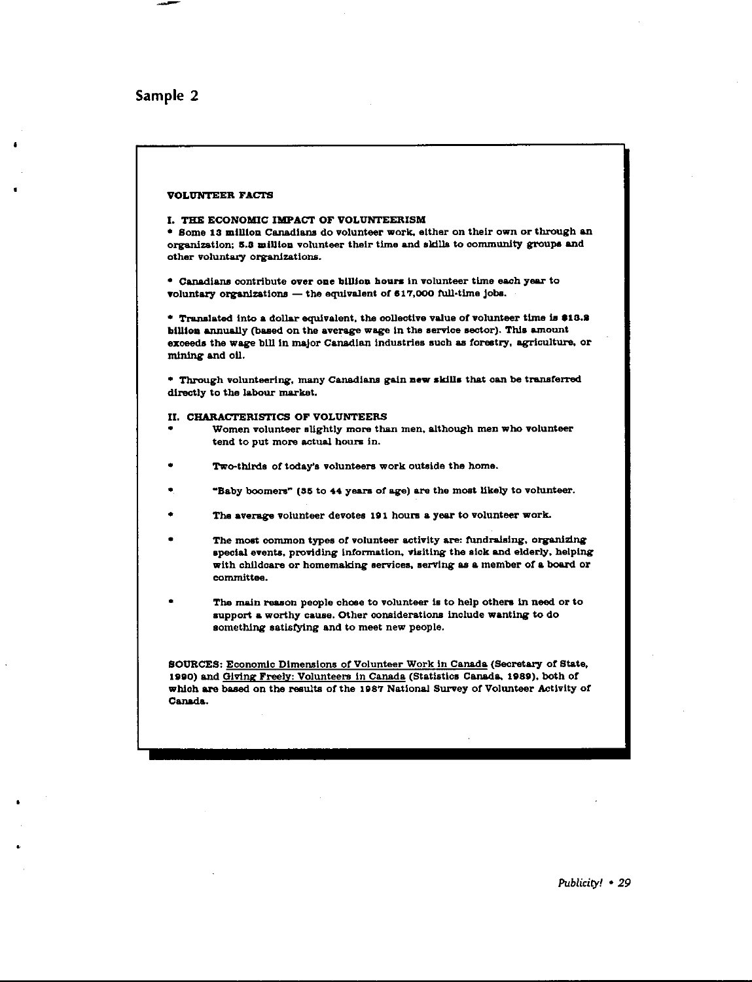#### Sample 2

•

#### VOLUNTEER FACTS

#### I, THE ECONOMIC **IMPACT** OF VOLUNTEERISM

\* Some 13 million Canadians do volunteer work, either on their own or through an organization; 5.3 million volunteer their time and skills to community groups and other voluntary organizations.

\* Canadians contribute over one billion hours in volunteer time each year to voluntary organizations  $-$  the equivalent of  $617,000$  full-time jobs.

 $*$  Translated into a dollar equivalent, the collective value of volunteer time is \$13.2 btllloa annually (baaed on the average wage in the aervice sector). Thia amount exceeds the wage blll ln major Canadian industries such as forestry, agriculture. or mining and oil.

\* Through volunteering, many Canadians gain new skills that can be transferred directly to the labour market.

#### II. CHARACTERISTICS OF VOLUNTEERS

- Women volunteer slightly more than men. although men who volunteer tend to put more actual houra in.
- Two-thirds of today's volunteers work outside the home.
- "Baby boomers" (35 to 44 years of age) are the most likely to volunteer.
- The average volunteer devotes 191 hours a year to volunteer work.
- The most common types of volunteer activity are: fundraising, organizing special events. providing information. visiting the siok and elderly. helping with childcare or homemaking services, serving as a member of a board or committee.
- The main reason people chose to volunteer is to help others in need or to support a worthy cause. Other considerations include wanting to do something satisfying and to meet new people.

SOURCES: Economic Dimensions of Volunteer Work in Canada (Secretary of State, 1890) and Giving Freely: Volunteers in Canada (Statiatlca Canada. 1889). both or which are based on the results of the 1987 National Survey of Volunteer Activity of Canada.